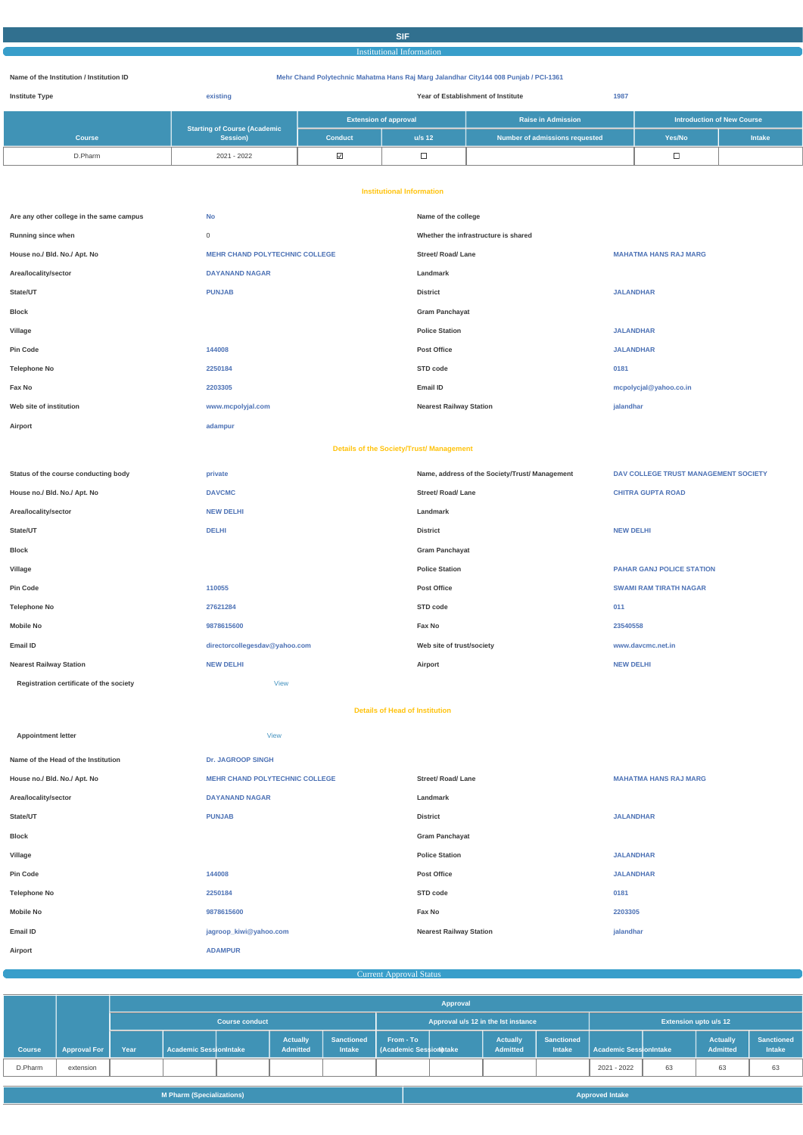# **SIF**

# Institutional Information

#### **Name of the Institution / Institution ID Mehr Chand Polytechnic Mahatma Hans Raj Marg Jalandhar City144 008 Punjab / PCI-1361**

| <b>Institute Type</b> | existing                                        |                              |          | Year of Establishment of Institute<br>1987 |                                   |               |
|-----------------------|-------------------------------------------------|------------------------------|----------|--------------------------------------------|-----------------------------------|---------------|
|                       |                                                 | <b>Extension of approval</b> |          | <b>Raise in Admission</b>                  | <b>Introduction of New Course</b> |               |
| <b>Course</b>         | <b>Starting of Course (Academic</b><br>Session) | <b>Conduct</b>               | $u/s$ 12 | Number of admissions requested             | Yes/No                            | <b>Intake</b> |
| D.Pharm               | 2021 - 2022                                     | ⊻                            | ᆸ        |                                            | 一                                 |               |

#### **Institutional Information**

| Are any other college in the same campus        | <b>No</b>                             | Name of the college                            |                                      |  |  |  |  |
|-------------------------------------------------|---------------------------------------|------------------------------------------------|--------------------------------------|--|--|--|--|
| Running since when                              | $\mathbf 0$                           | Whether the infrastructure is shared           |                                      |  |  |  |  |
| House no./ Bld. No./ Apt. No                    | <b>MEHR CHAND POLYTECHNIC COLLEGE</b> | <b>Street/ Road/ Lane</b>                      | <b>MAHATMA HANS RAJ MARG</b>         |  |  |  |  |
| Area/locality/sector                            | <b>DAYANAND NAGAR</b>                 | Landmark                                       |                                      |  |  |  |  |
| State/UT                                        | <b>PUNJAB</b>                         | <b>District</b>                                | <b>JALANDHAR</b>                     |  |  |  |  |
| <b>Block</b>                                    |                                       | <b>Gram Panchayat</b>                          |                                      |  |  |  |  |
| Village                                         |                                       | <b>Police Station</b>                          | <b>JALANDHAR</b>                     |  |  |  |  |
| <b>Pin Code</b>                                 | 144008                                | <b>Post Office</b>                             | <b>JALANDHAR</b>                     |  |  |  |  |
| <b>Telephone No</b>                             | 2250184                               | STD code                                       | 0181                                 |  |  |  |  |
| Fax No                                          | 2203305                               | Email ID                                       | mcpolycjal@yahoo.co.in               |  |  |  |  |
| Web site of institution                         | www.mcpolyjal.com                     | <b>Nearest Railway Station</b>                 | jalandhar                            |  |  |  |  |
| Airport                                         | adampur                               |                                                |                                      |  |  |  |  |
| <b>Details of the Society/Trust/ Management</b> |                                       |                                                |                                      |  |  |  |  |
| Status of the course conducting body            | private                               | Name, address of the Society/Trust/ Management | DAV COLLEGE TRUST MANAGEMENT SOCIETY |  |  |  |  |
| House no./ Bld. No./ Apt. No                    | <b>DAVCMC</b>                         | <b>Street/ Road/ Lane</b>                      | <b>CHITRA GUPTA ROAD</b>             |  |  |  |  |
| Area/locality/sector                            | <b>NEW DELHI</b>                      | Landmark                                       |                                      |  |  |  |  |
| State/UT                                        | <b>DELHI</b>                          | <b>District</b>                                | <b>NEW DELHI</b>                     |  |  |  |  |
| Block                                           |                                       | <b>Gram Panchayat</b>                          |                                      |  |  |  |  |
| Village                                         |                                       | <b>Police Station</b>                          | <b>PAHAR GANJ POLICE STATION</b>     |  |  |  |  |
| <b>Pin Code</b>                                 | 110055                                | <b>Post Office</b>                             | <b>SWAMI RAM TIRATH NAGAR</b>        |  |  |  |  |
| <b>Telephone No</b>                             | 27621284                              | STD code                                       | 011                                  |  |  |  |  |
| <b>Mobile No</b>                                | 9878615600                            | Fax No                                         | 23540558                             |  |  |  |  |
| Email ID                                        | directorcollegesdav@yahoo.com         | Web site of trust/society                      | www.davcmc.net.in                    |  |  |  |  |
| <b>Nearest Railway Station</b>                  | <b>NEW DELHI</b>                      | Airport                                        | <b>NEW DELHI</b>                     |  |  |  |  |
| Registration certificate of the society         | <b>View</b>                           |                                                |                                      |  |  |  |  |
| <b>Details of Head of Institution</b>           |                                       |                                                |                                      |  |  |  |  |

| <b>Appointment letter</b>           | <b>View</b>                           |                                |                              |
|-------------------------------------|---------------------------------------|--------------------------------|------------------------------|
| Name of the Head of the Institution | <b>Dr. JAGROOP SINGH</b>              |                                |                              |
| House no./ Bld. No./ Apt. No        | <b>MEHR CHAND POLYTECHNIC COLLEGE</b> | <b>Street/ Road/ Lane</b>      | <b>MAHATMA HANS RAJ MARG</b> |
| Area/locality/sector                | <b>DAYANAND NAGAR</b>                 | Landmark                       |                              |
| State/UT                            | <b>PUNJAB</b>                         | <b>District</b>                | <b>JALANDHAR</b>             |
| <b>Block</b>                        |                                       | <b>Gram Panchayat</b>          |                              |
| Village                             |                                       | <b>Police Station</b>          | <b>JALANDHAR</b>             |
| <b>Pin Code</b>                     | 144008                                | <b>Post Office</b>             | <b>JALANDHAR</b>             |
| <b>Telephone No</b>                 | 2250184                               | STD code                       | 0181                         |
| <b>Mobile No</b>                    | 9878615600                            | Fax No                         | 2203305                      |
| Email ID                            | jagroop_kiwi@yahoo.com                | <b>Nearest Railway Station</b> | jalandhar                    |
| Airport                             | <b>ADAMPUR</b>                        |                                |                              |

# **Current Approval Status Current Approval Status Current Approval Status**

|               |                     |                       | Approval                      |  |                                     |                                    |                                           |                              |                                    |                                    |                        |    |                                    |                             |
|---------------|---------------------|-----------------------|-------------------------------|--|-------------------------------------|------------------------------------|-------------------------------------------|------------------------------|------------------------------------|------------------------------------|------------------------|----|------------------------------------|-----------------------------|
|               |                     | <b>Course conduct</b> |                               |  | Approval u/s 12 in the lst instance |                                    |                                           | <b>Extension upto u/s 12</b> |                                    |                                    |                        |    |                                    |                             |
| <b>Course</b> | <b>Approval For</b> | Year                  | <b>Academic SessionIntake</b> |  | <b>Actually</b><br>Admitted         | <b>Sanctioned</b><br><b>Intake</b> | From - To<br><b>Academic Session Make</b> |                              | <b>Actually</b><br><b>Admitted</b> | <b>Sanctioned</b><br><b>Intake</b> | Academic SessionIntake |    | <b>Actually</b><br><b>Admitted</b> | <b>Sanctioned</b><br>Intake |
| D.Pharm       | extension           |                       |                               |  |                                     |                                    |                                           |                              |                                    |                                    | 2021 - 2022            | 63 | 63                                 | 63                          |

| <b>M Pharm (Specializations)</b><br>Approved Intake |
|-----------------------------------------------------|
|-----------------------------------------------------|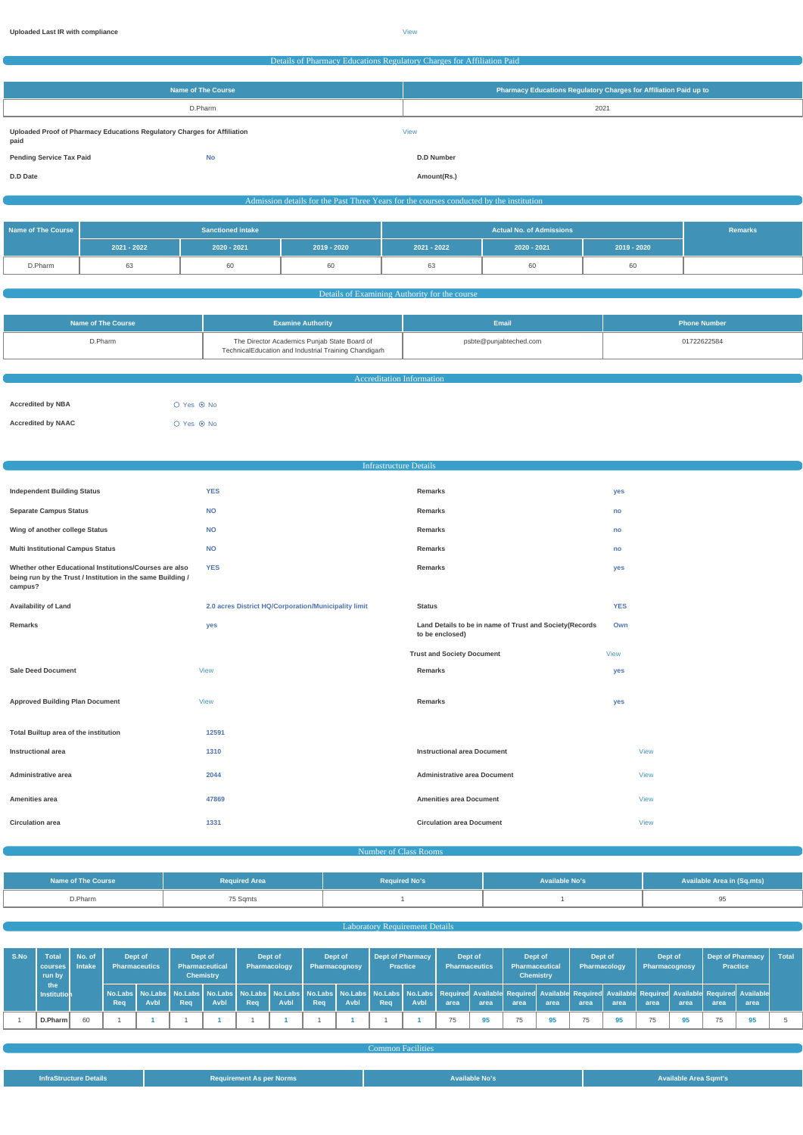C

#### Details of Pharmacy Educations Regulatory Charges for Affiliation Paid

| Name of The Course                                                               |           | Pharmacy Educations Regulatory Charges for Affiliation Paid up to |
|----------------------------------------------------------------------------------|-----------|-------------------------------------------------------------------|
|                                                                                  | D.Pharm   | 2021                                                              |
| Uploaded Proof of Pharmacy Educations Regulatory Charges for Affiliation<br>paid |           | <b>View</b>                                                       |
| <b>Pending Service Tax Paid</b>                                                  | <b>No</b> | <b>D.D Number</b>                                                 |
| D.D Date                                                                         |           | Amount(Rs.)                                                       |

Admission details for the Past Three Years for the courses conducted by the institution

| Name of The Course | <b>Sanctioned intake</b> |               |             |               | Remarks       |             |  |
|--------------------|--------------------------|---------------|-------------|---------------|---------------|-------------|--|
|                    | 2021 - 2022              | $2020 - 2021$ | 2019 - 2020 | $2021 - 2022$ | $2020 - 2021$ | 2019 - 2020 |  |
| D.Pharm            | 63                       | σO            | 60          | 63            | σU            |             |  |

Details of Examining Authority for the course

|                                                                                                                  |                        | <b>Phone Number</b> |  |
|------------------------------------------------------------------------------------------------------------------|------------------------|---------------------|--|
| The Director Academics Punjab State Board of<br>D.Pharm<br>TechnicalEducation and Industrial Training Chandigarh | psbte@punjabteched.com | 01722622584         |  |

| <b>Accreditation Information</b> |  |  |  |  |  |  |
|----------------------------------|--|--|--|--|--|--|
|                                  |  |  |  |  |  |  |
| ○ Yes ◉ No                       |  |  |  |  |  |  |
| ○ Yes ◉ No                       |  |  |  |  |  |  |
|                                  |  |  |  |  |  |  |

| <b>Infrastructure Details</b>                                                                                                     |                                                      |                                                                            |             |  |  |  |  |
|-----------------------------------------------------------------------------------------------------------------------------------|------------------------------------------------------|----------------------------------------------------------------------------|-------------|--|--|--|--|
|                                                                                                                                   |                                                      |                                                                            |             |  |  |  |  |
| <b>Independent Building Status</b>                                                                                                | <b>YES</b>                                           | Remarks                                                                    | yes         |  |  |  |  |
| <b>Separate Campus Status</b>                                                                                                     | <b>NO</b>                                            | Remarks                                                                    | no          |  |  |  |  |
| Wing of another college Status                                                                                                    | <b>NO</b>                                            | Remarks                                                                    | no          |  |  |  |  |
| <b>Multi Institutional Campus Status</b>                                                                                          | <b>NO</b>                                            | Remarks                                                                    | no          |  |  |  |  |
| Whether other Educational Institutions/Courses are also<br>being run by the Trust / Institution in the same Building /<br>campus? | <b>YES</b>                                           | Remarks                                                                    | yes         |  |  |  |  |
| <b>Availability of Land</b>                                                                                                       | 2.0 acres District HQ/Corporation/Municipality limit | <b>Status</b>                                                              | <b>YES</b>  |  |  |  |  |
| Remarks                                                                                                                           | yes                                                  | Land Details to be in name of Trust and Society(Records<br>to be enclosed) | Own         |  |  |  |  |
|                                                                                                                                   |                                                      | <b>Trust and Society Document</b>                                          | <b>View</b> |  |  |  |  |
| <b>Sale Deed Document</b>                                                                                                         | <b>View</b>                                          | Remarks                                                                    | yes         |  |  |  |  |
| <b>Approved Building Plan Document</b>                                                                                            | <b>View</b>                                          | Remarks                                                                    | yes         |  |  |  |  |
| Total Builtup area of the institution                                                                                             | 12591                                                |                                                                            |             |  |  |  |  |
| <b>Instructional area</b>                                                                                                         | 1310                                                 | <b>Instructional area Document</b>                                         | <b>View</b> |  |  |  |  |
| Administrative area                                                                                                               | 2044                                                 | <b>Administrative area Document</b>                                        | <b>View</b> |  |  |  |  |
| Amenities area                                                                                                                    | 47869                                                | <b>Amenities area Document</b>                                             | <b>View</b> |  |  |  |  |
| <b>Circulation area</b>                                                                                                           | 1331                                                 | <b>Circulation area Document</b>                                           | View        |  |  |  |  |

| Name of The Course | <b>Required Area</b> | <b>Required No's</b> | <b>Available No's</b> | <b>Available Area in (Sq.mts)</b> |
|--------------------|----------------------|----------------------|-----------------------|-----------------------------------|
| D.Pharm            | 75 Sqmts             |                      |                       |                                   |

|  |  | <b>Laboratory Requirement Details</b> |  |  |
|--|--|---------------------------------------|--|--|
|  |  |                                       |  |  |

| S.No | Total<br>courses   Intake<br>run by | No. of | <b>Pharmaceutics</b> | Dept of     | Dept of<br><b>Pharmaceutical</b> | <b>Chemistry</b> | Dept of<br>Pharmacology |      | Dept of<br>Pharmacognosy |      | <b>Dept of Pharmacy</b> | <b>Practice</b> | Dept of<br><b>Pharmaceutics</b> |      | <b>Pharmaceutical</b> | Dept of<br><b>Chemistry</b> | Dept of<br>Pharmacology                                                                                                                                                                                                                |      | Dept of<br>Pharmacognosy |      | Dept of Pharmacy<br><b>Practice</b> |      | <b>Total</b> |
|------|-------------------------------------|--------|----------------------|-------------|----------------------------------|------------------|-------------------------|------|--------------------------|------|-------------------------|-----------------|---------------------------------|------|-----------------------|-----------------------------|----------------------------------------------------------------------------------------------------------------------------------------------------------------------------------------------------------------------------------------|------|--------------------------|------|-------------------------------------|------|--------------|
|      | the<br><b>Institution</b>           |        | Req                  | <b>Avbl</b> | Rea                              | <b>Avbl</b>      | Req                     | Avbl | Req                      | Avbl | Req                     | Avbl            | area                            | area | area                  | area                        | No.Labs   No.Labs   No.Labs   No.Labs   No.Labs   No.Labs   No.Labs   No.Labs   No.Labs   No.Labs   Required Available Required Available Required Available Required Available Required Available Required Available Required<br>area | area | area                     | area | area                                | area |              |
|      | D.Pharm                             |        |                      |             |                                  |                  |                         |      |                          |      |                         |                 | 75                              |      | 75                    |                             | 75                                                                                                                                                                                                                                     |      | 75                       |      |                                     |      |              |

|                               |                                 | <b>Common Facilities</b> |                              |
|-------------------------------|---------------------------------|--------------------------|------------------------------|
|                               |                                 |                          |                              |
| <b>InfraStructure Details</b> | <b>Requirement As per Norms</b> | Available No's           | <b>Available Area Sqmt's</b> |
|                               |                                 |                          |                              |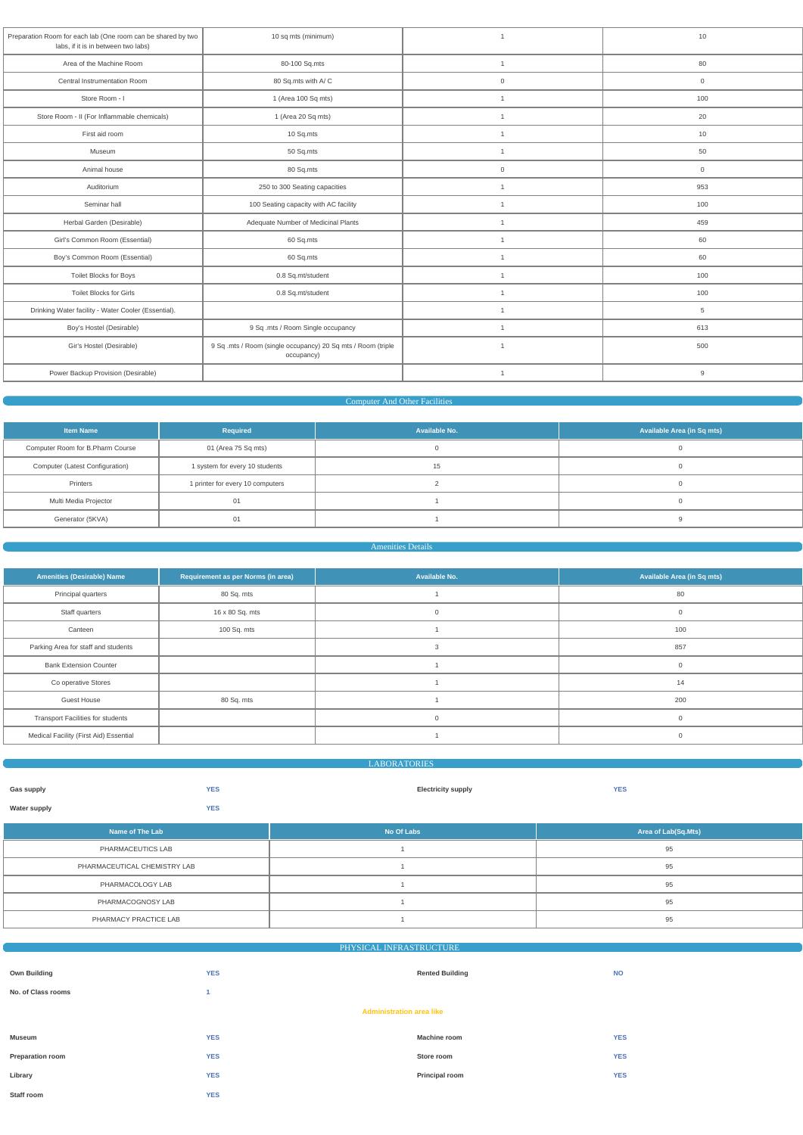| Preparation Room for each lab (One room can be shared by two<br>labs, if it is in between two labs) | 10 sq mts (minimum)                                                        | $\overline{1}$ | 10                  |
|-----------------------------------------------------------------------------------------------------|----------------------------------------------------------------------------|----------------|---------------------|
| Area of the Machine Room                                                                            | 80-100 Sq.mts                                                              | $\overline{1}$ | 80                  |
| Central Instrumentation Room                                                                        | 80 Sq.mts with A/C                                                         | $\mathbf 0$    | $\mathbf 0$         |
| Store Room - I                                                                                      | 1 (Area 100 Sq mts)                                                        | $\overline{1}$ | 100                 |
| Store Room - II (For Inflammable chemicals)                                                         | 1 (Area 20 Sq mts)                                                         | $\overline{1}$ | 20                  |
| First aid room                                                                                      | 10 Sq.mts                                                                  | $\overline{1}$ | 10                  |
| Museum                                                                                              | 50 Sq.mts                                                                  | $\overline{1}$ | 50                  |
| Animal house                                                                                        | 80 Sq.mts                                                                  | $\mathbf 0$    | $\mathsf{O}\xspace$ |
| 250 to 300 Seating capacities<br>Auditorium                                                         |                                                                            | $\overline{1}$ | 953                 |
| Seminar hall                                                                                        | 100 Seating capacity with AC facility                                      | $\overline{1}$ | 100                 |
| Herbal Garden (Desirable)                                                                           | Adequate Number of Medicinal Plants                                        | $\overline{1}$ | 459                 |
| Girl's Common Room (Essential)                                                                      | 60 Sq.mts                                                                  | $\overline{1}$ | 60                  |
| Boy's Common Room (Essential)                                                                       | 60 Sq.mts                                                                  | $\overline{1}$ | 60                  |
| Toilet Blocks for Boys                                                                              | 0.8 Sq.mt/student                                                          | $\overline{1}$ | 100                 |
| <b>Toilet Blocks for Girls</b>                                                                      | 0.8 Sq.mt/student                                                          | $\overline{1}$ | 100                 |
| Drinking Water facility - Water Cooler (Essential).                                                 |                                                                            | $\overline{1}$ | 5                   |
| Boy's Hostel (Desirable)                                                                            | 9 Sq .mts / Room Single occupancy                                          | $\overline{1}$ | 613                 |
| Gir's Hostel (Desirable)                                                                            | 9 Sq .mts / Room (single occupancy) 20 Sq mts / Room (triple<br>occupancy) | $\overline{1}$ | 500                 |
| Power Backup Provision (Desirable)                                                                  |                                                                            | $\mathbf{1}$   | 9                   |
|                                                                                                     |                                                                            |                |                     |

# **Computer And Other Facilities**

| <b>Item Name</b>                                        | Required                         | Available No. | Available Area (in Sq mts) |  |  |
|---------------------------------------------------------|----------------------------------|---------------|----------------------------|--|--|
| Computer Room for B.Pharm Course<br>01 (Area 75 Sq mts) |                                  |               |                            |  |  |
| Computer (Latest Configuration)                         | 1 system for every 10 students   | 15            |                            |  |  |
| Printers                                                | 1 printer for every 10 computers |               |                            |  |  |
| Multi Media Projector                                   |                                  |               |                            |  |  |
| Generator (5KVA)                                        |                                  |               |                            |  |  |

# Amenities Details

| <b>Amenities (Desirable) Name</b>        | Requirement as per Norms (in area) | Available No. | <b>Available Area (in Sq mts)</b> |
|------------------------------------------|------------------------------------|---------------|-----------------------------------|
| Principal quarters                       | 80 Sq. mts                         |               | 80                                |
| Staff quarters                           | 16 x 80 Sq. mts                    | $\mathbf 0$   |                                   |
| Canteen                                  | 100 Sq. mts                        |               | 100                               |
| Parking Area for staff and students      |                                    | 3             | 857                               |
| <b>Bank Extension Counter</b>            |                                    |               |                                   |
| Co operative Stores                      |                                    |               | 14                                |
| <b>Guest House</b>                       | 80 Sq. mts                         |               | 200                               |
| <b>Transport Facilities for students</b> |                                    | 0             |                                   |
| Medical Facility (First Aid) Essential   |                                    |               |                                   |

|                   |            | <b>LABORATORIES</b>       |            |  |
|-------------------|------------|---------------------------|------------|--|
| <b>Gas supply</b> | <b>YES</b> | <b>Electricity supply</b> | <b>YES</b> |  |
| Water supply      | <b>YES</b> |                           |            |  |
|                   |            |                           |            |  |

| <b>Aof The Laby</b><br><b>TANTIO AT THE END</b> | No Of Labs | $\mathcal{L}$ for a subset of $\mathcal{L}$ and $\mathcal{L}$ and $\mathcal{L}$<br>DI SO.MISIN<br><b>Area or La</b> |
|-------------------------------------------------|------------|---------------------------------------------------------------------------------------------------------------------|
| PHARMACEUTICS LAB                               |            |                                                                                                                     |

| PHARMACEUTICAL CHEMISTRY LAB | ಀಀ |
|------------------------------|----|
| PHARMACOLOGY LAB             |    |
| PHARMACOGNOSY LAB            | J۰ |
| PHARMACY PRACTICE LAB        | ৬: |

| PHYSICAL INFRASTRUCTURE         |            |                        |            |  |  |  |  |
|---------------------------------|------------|------------------------|------------|--|--|--|--|
|                                 |            |                        |            |  |  |  |  |
| <b>Own Building</b>             | <b>YES</b> | <b>Rented Building</b> | <b>NO</b>  |  |  |  |  |
| No. of Class rooms              |            |                        |            |  |  |  |  |
| <b>Administration area like</b> |            |                        |            |  |  |  |  |
|                                 |            |                        |            |  |  |  |  |
| Museum                          | <b>YES</b> | <b>Machine room</b>    | <b>YES</b> |  |  |  |  |
| Preparation room                | <b>YES</b> | Store room             | <b>YES</b> |  |  |  |  |
| Library                         | <b>YES</b> | <b>Principal room</b>  | <b>YES</b> |  |  |  |  |
| Staff room                      | <b>YES</b> |                        |            |  |  |  |  |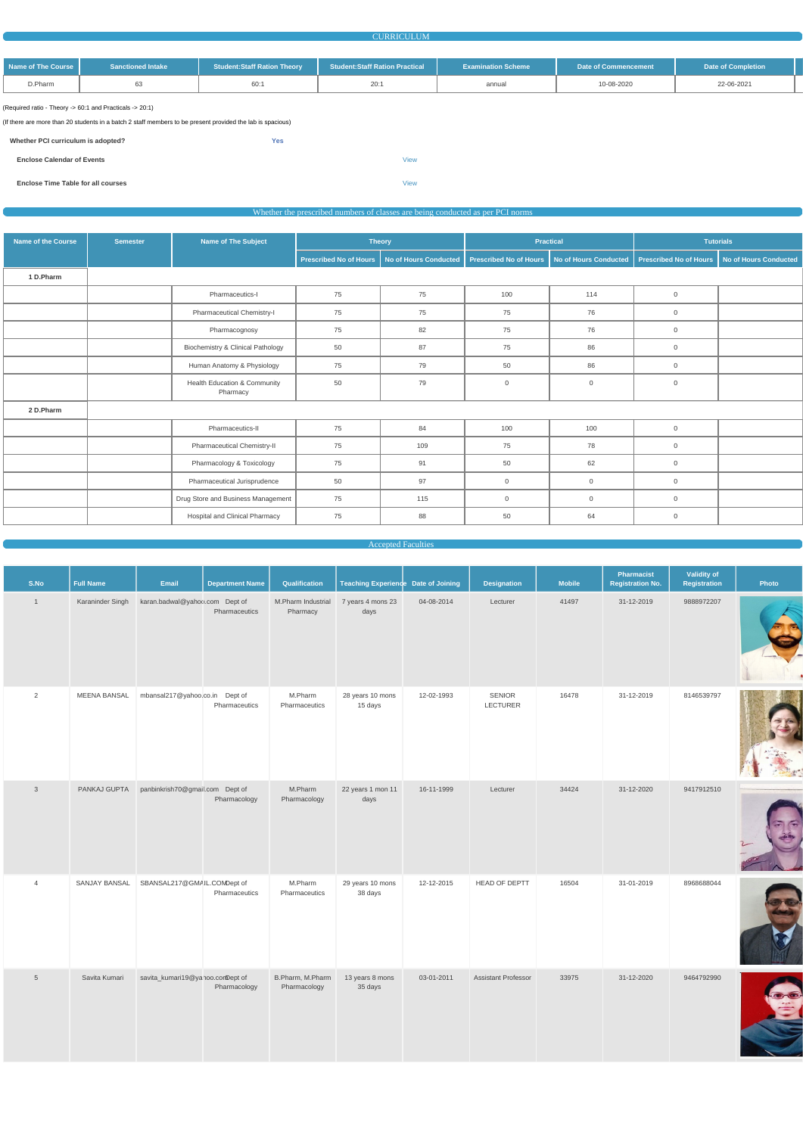#### **CURRICULUM**

| Name of The Course | <b>Sanctioned Intake</b> | <b>Student:Staff Ration Theory</b> | <b>Student:Staff Ration Practical</b> | <b>Examination Scheme</b> | Date of Commencement | <b>Date of Completion</b> |  |
|--------------------|--------------------------|------------------------------------|---------------------------------------|---------------------------|----------------------|---------------------------|--|
| D.Pharm            |                          | 60:                                | 20:                                   | annual                    | 10-08-2020           | 22-06-2021                |  |

(Required ratio - Theory -> 60:1 and Practicals -> 20:1)

(If there are more than 20 students in a batch 2 staff members to be present provided the lab is spacious)

**Whether PCI curriculum is adopted? Yes**

**Enclose Calendar of Events** [View](https://dgpm.nic.in/institute/getmongoPdfFile.do?renreceiptid=af97d1fd-cff4-4a9a-94b0-9a35f6201036&tablename=curriculam)

**Enclose Time Table for all courses** [View](https://dgpm.nic.in/institute/getmongoPdfFile.do?renreceiptid=e7bdf1e4-2d59-47e3-9761-9710fb6cf0db&tablename=timetable)

## Whether the prescribed numbers of classes are being conducted as per PCI norms

| <b>Name of the Course</b> | <b>Semester</b> | Name of The Subject                                 |                               | <b>Theory</b>         | <b>Practical</b>              |                       |                               | <b>Tutorials</b>             |
|---------------------------|-----------------|-----------------------------------------------------|-------------------------------|-----------------------|-------------------------------|-----------------------|-------------------------------|------------------------------|
|                           |                 |                                                     | <b>Prescribed No of Hours</b> | No of Hours Conducted | <b>Prescribed No of Hours</b> | No of Hours Conducted | <b>Prescribed No of Hours</b> | <b>No of Hours Conducted</b> |
| 1 D.Pharm                 |                 |                                                     |                               |                       |                               |                       |                               |                              |
|                           |                 | Pharmaceutics-I                                     | 75                            | 75                    | 100                           | 114                   | $\overline{0}$                |                              |
|                           |                 | Pharmaceutical Chemistry-I                          | 75                            | 75                    | 75                            | 76                    | $\overline{0}$                |                              |
|                           |                 | Pharmacognosy                                       | 75                            | 82                    | 75                            | 76                    | $\overline{0}$                |                              |
|                           |                 | Biochemistry & Clinical Pathology                   | 50                            | 87                    | 75                            | 86                    | $\overline{0}$                |                              |
|                           |                 | Human Anatomy & Physiology                          | 75                            | 79                    | 50                            | 86                    | $\overline{0}$                |                              |
|                           |                 | <b>Health Education &amp; Community</b><br>Pharmacy | 50                            | 79                    | $\mathbf 0$                   | $\overline{0}$        | $\overline{0}$                |                              |
| 2 D.Pharm                 |                 |                                                     |                               |                       |                               |                       |                               |                              |
|                           |                 | Pharmaceutics-II                                    | 75                            | 84                    | 100                           | 100                   | $\overline{0}$                |                              |
|                           |                 | Pharmaceutical Chemistry-II                         | 75                            | 109                   | 75                            | 78                    | $\overline{0}$                |                              |
|                           |                 | Pharmacology & Toxicology                           | 75                            | 91                    | 50                            | 62                    | $\overline{0}$                |                              |
|                           |                 | Pharmaceutical Jurisprudence                        | 50                            | 97                    | 0                             | $\overline{0}$        | $\overline{0}$                |                              |
|                           |                 | Drug Store and Business Management                  | 75                            | 115                   | $\mathbf 0$                   | $\overline{0}$        | $\overline{0}$                |                              |
|                           |                 | Hospital and Clinical Pharmacy                      | 75                            | 88                    | 50                            | 64                    | $\overline{0}$                |                              |

Accepted Faculties

| S.No           | <b>Full Name</b>    | Email                           | <b>Department Name</b> | Qualification                  | <b>Teaching Experience Date of Joining</b> |            | <b>Designation</b>        | <b>Mobile</b> | Pharmacist<br><b>Registration No.</b> | <b>Validity of</b><br>Registration | Photo |
|----------------|---------------------|---------------------------------|------------------------|--------------------------------|--------------------------------------------|------------|---------------------------|---------------|---------------------------------------|------------------------------------|-------|
| $\mathbf{1}$   | Karaninder Singh    | karan.badwal@yahoo.com Dept of  | Pharmaceutics          | M.Pharm Industrial<br>Pharmacy | 7 years 4 mons 23<br>days                  | 04-08-2014 | Lecturer                  | 41497         | 31-12-2019                            | 9888972207                         |       |
| $\overline{2}$ | <b>MEENA BANSAL</b> | mbansal217@yahoo.co.in Dept of  | Pharmaceutics          | M.Pharm<br>Pharmaceutics       | 28 years 10 mons<br>15 days                | 12-02-1993 | <b>SENIOR</b><br>LECTURER | 16478         | 31-12-2019                            | 8146539797                         |       |
| $\mathbf{3}$   | PANKAJ GUPTA        | panbinkrish70@gmail.com Dept of | Pharmacology           | M.Pharm<br>Pharmacology        | 22 years 1 mon 11<br>days                  | 16-11-1999 | Lecturer                  | 34424         | 31-12-2020                            | 9417912510                         |       |



O

| $\overline{4}$  | SANJAY BANSAL | SBANSAL217@GMAIL.COMDept of      | Pharmaceutics | M.Pharm<br>Pharmaceutics         | 29 years 10 mons<br>38 days | 12-12-2015 | HEAD OF DEPTT              | 16504 | 31-01-2019 | 8968688044 |           |
|-----------------|---------------|----------------------------------|---------------|----------------------------------|-----------------------------|------------|----------------------------|-------|------------|------------|-----------|
| $5\phantom{.0}$ | Savita Kumari | savita_kumari19@yahoo.conDept of | Pharmacology  | B.Pharm, M.Pharm<br>Pharmacology | 13 years 8 mons<br>35 days  | 03-01-2011 | <b>Assistant Professor</b> | 33975 | 31-12-2020 | 9464792990 | $\bullet$ |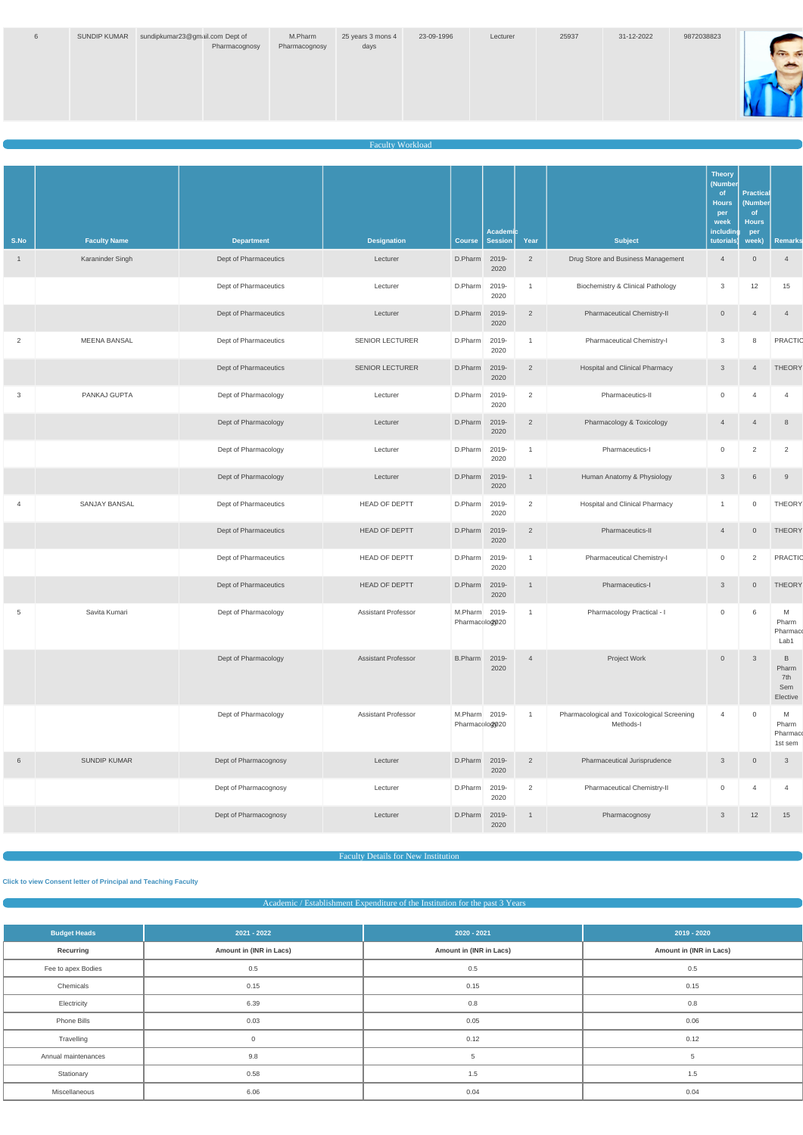| 6 | SUNDIP KUMAR sundipkumar23@gmail.com Dept of | Pharmacognosy | M.Pharm<br>Pharmacognosy | 25 years 3 mons 4<br>days | 23-09-1996 | Lecturer | 25937 | 31-12-2022 | 9872038823 |  |
|---|----------------------------------------------|---------------|--------------------------|---------------------------|------------|----------|-------|------------|------------|--|
|   |                                              |               |                          |                           |            |          |       |            |            |  |

#### **Faculty Workload**

|                |                     |                       |                            |                                 | Academic      |                |                                                          | <b>Theory</b><br>(Number<br>of<br><b>Hours</b><br>per<br>week<br>including | <b>Practical</b><br>(Number<br><sub>of</sub><br><b>Hours</b><br>per |                                      |
|----------------|---------------------|-----------------------|----------------------------|---------------------------------|---------------|----------------|----------------------------------------------------------|----------------------------------------------------------------------------|---------------------------------------------------------------------|--------------------------------------|
| S.No           | <b>Faculty Name</b> | <b>Department</b>     | <b>Designation</b>         | <b>Course</b>                   | Session       | Year           | <b>Subject</b>                                           | tutorials)                                                                 | week)                                                               | <b>Remarks</b>                       |
| $\mathbf{1}$   | Karaninder Singh    | Dept of Pharmaceutics | Lecturer                   | D.Pharm                         | 2019-<br>2020 | $\overline{2}$ | Drug Store and Business Management                       | $\overline{4}$                                                             | $\overline{0}$                                                      | $\overline{4}$                       |
|                |                     | Dept of Pharmaceutics | Lecturer                   | D.Pharm                         | 2019-<br>2020 | $\mathbf{1}$   | <b>Biochemistry &amp; Clinical Pathology</b>             | 3                                                                          | 12                                                                  | 15                                   |
|                |                     | Dept of Pharmaceutics | Lecturer                   | D.Pharm                         | 2019-<br>2020 | $\overline{2}$ | Pharmaceutical Chemistry-II                              | $\overline{0}$                                                             | $\overline{4}$                                                      | $\overline{4}$                       |
| $\overline{2}$ | <b>MEENA BANSAL</b> | Dept of Pharmaceutics | <b>SENIOR LECTURER</b>     | D.Pharm                         | 2019-<br>2020 | $\mathbf{1}$   | Pharmaceutical Chemistry-I                               | 3                                                                          | 8                                                                   | <b>PRACTIC</b>                       |
|                |                     | Dept of Pharmaceutics | <b>SENIOR LECTURER</b>     | D.Pharm                         | 2019-<br>2020 | $\overline{2}$ | Hospital and Clinical Pharmacy                           | 3                                                                          | $\overline{4}$                                                      | <b>THEORY</b>                        |
| 3              | PANKAJ GUPTA        | Dept of Pharmacology  | Lecturer                   | D.Pharm                         | 2019-<br>2020 | 2              | Pharmaceutics-II                                         | 0                                                                          | $\overline{\mathcal{A}}$                                            | $\overline{4}$                       |
|                |                     | Dept of Pharmacology  | Lecturer                   | D.Pharm                         | 2019-<br>2020 | $\overline{2}$ | Pharmacology & Toxicology                                | $\overline{4}$                                                             | $\overline{4}$                                                      | 8                                    |
|                |                     | Dept of Pharmacology  | Lecturer                   | D.Pharm                         | 2019-<br>2020 | $\mathbf{1}$   | Pharmaceutics-I                                          | 0                                                                          | 2                                                                   | 2                                    |
|                |                     | Dept of Pharmacology  | Lecturer                   | D.Pharm                         | 2019-<br>2020 | $\mathbf{1}$   | Human Anatomy & Physiology                               | $\mathbf{3}$                                                               | $6\phantom{1}6$                                                     | 9                                    |
| $\overline{4}$ | SANJAY BANSAL       | Dept of Pharmaceutics | <b>HEAD OF DEPTT</b>       | D.Pharm                         | 2019-<br>2020 | $\overline{2}$ | <b>Hospital and Clinical Pharmacy</b>                    | $\overline{1}$                                                             | $\mathbf 0$                                                         | <b>THEORY</b>                        |
|                |                     | Dept of Pharmaceutics | <b>HEAD OF DEPTT</b>       | D.Pharm                         | 2019-<br>2020 | $\overline{2}$ | Pharmaceutics-II                                         | $\overline{4}$                                                             | $\overline{0}$                                                      | <b>THEORY</b>                        |
|                |                     | Dept of Pharmaceutics | HEAD OF DEPTT              | D.Pharm                         | 2019-<br>2020 | $\mathbf{1}$   | Pharmaceutical Chemistry-I                               | $\overline{0}$                                                             | $\overline{2}$                                                      | <b>PRACTIC</b>                       |
|                |                     | Dept of Pharmaceutics | <b>HEAD OF DEPTT</b>       | D.Pharm                         | 2019-<br>2020 | $\overline{1}$ | Pharmaceutics-I                                          | 3                                                                          | $\overline{0}$                                                      | <b>THEORY</b>                        |
| 5              | Savita Kumari       | Dept of Pharmacology  | <b>Assistant Professor</b> | M.Pharm 2019-<br>Pharmacolog020 |               | $\mathbf{1}$   | Pharmacology Practical - I                               | $\mathbf 0$                                                                | 6                                                                   | M<br>Pharm<br>Pharmaco<br>Lab1       |
|                |                     | Dept of Pharmacology  | <b>Assistant Professor</b> | B.Pharm 2019-                   | 2020          | $\overline{4}$ | Project Work                                             | $\overline{0}$                                                             | $\mathbf{3}$                                                        | B<br>Pharm<br>7th<br>Sem<br>Elective |
|                |                     | Dept of Pharmacology  | <b>Assistant Professor</b> | M.Pharm 2019-<br>Pharmacolog020 |               | 1              | Pharmacological and Toxicological Screening<br>Methods-I | $\overline{4}$                                                             | $\mathbb O$                                                         | M<br>Pharm<br>Pharmaco<br>1st sem    |
| 6              | SUNDIP KUMAR        | Dept of Pharmacognosy | Lecturer                   | D.Pharm 2019-                   | 2020          | $\overline{2}$ | Pharmaceutical Jurisprudence                             | $\mathbf{3}$                                                               | $\overline{0}$                                                      | $\mathbf{3}$                         |
|                |                     | Dept of Pharmacognosy | Lecturer                   | D.Pharm                         | 2019-<br>2020 | 2              | Pharmaceutical Chemistry-II                              | 0                                                                          | $\overline{4}$                                                      | $\overline{4}$                       |
|                |                     | Dept of Pharmacognosy | Lecturer                   | D.Pharm                         | 2019-<br>2020 | $\mathbf{1}$   | Pharmacognosy                                            | $\mathbf{3}$                                                               | 12                                                                  | 15                                   |

# Academic / Establishment Expenditure of the Institution for the past 3 Years

| <b>Budget Heads</b> | $2021 - 2022$           | 2020 - 2021             | $2019 - 2020$           |
|---------------------|-------------------------|-------------------------|-------------------------|
| Recurring           | Amount in (INR in Lacs) | Amount in (INR in Lacs) | Amount in (INR in Lacs) |
| Fee to apex Bodies  | 0.5                     | 0.5                     | 0.5                     |
| Chemicals           | 0.15                    | 0.15                    | 0.15                    |
| Electricity         | 6.39                    | 0.8                     | 0.8                     |
| Phone Bills         | 0.03                    | 0.05                    | 0.06                    |
| Travelling          | $\Omega$                | 0.12                    | 0.12                    |
| Annual maintenances | 9.8                     | 5                       | 5                       |
| Stationary          | 0.58                    | 1.5                     | 1.5                     |
| Miscellaneous       | 6.06                    | 0.04                    | 0.04                    |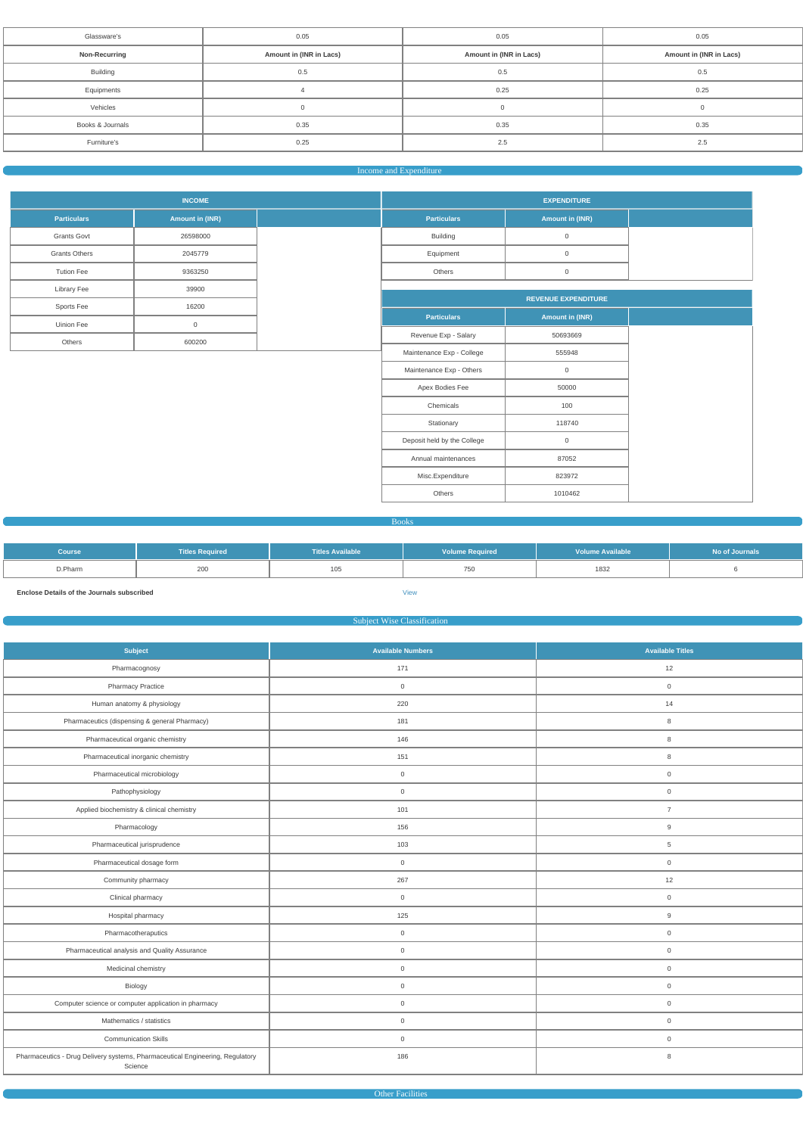| Glassware's                                     | 0.05 | 0.05                    | 0.05                    |  |  |
|-------------------------------------------------|------|-------------------------|-------------------------|--|--|
| Amount in (INR in Lacs)<br><b>Non-Recurring</b> |      | Amount in (INR in Lacs) | Amount in (INR in Lacs) |  |  |
| <b>Building</b><br>0.5                          |      | 0.5                     | 0.5                     |  |  |
| Equipments                                      |      | 0.25                    | 0.25                    |  |  |
| Vehicles                                        |      | $\cap$                  |                         |  |  |
| Books & Journals                                | 0.35 | 0.35                    | 0.35                    |  |  |
| Furniture's                                     | 0.25 | 2.5                     | 2.5                     |  |  |
|                                                 |      |                         |                         |  |  |

#### Income and Expenditure

|                      | <b>INCOME</b>   |                             | <b>EXPENDITURE</b>         |
|----------------------|-----------------|-----------------------------|----------------------------|
| <b>Particulars</b>   | Amount in (INR) | <b>Particulars</b>          | <b>Amount in (INR)</b>     |
| <b>Grants Govt</b>   | 26598000        | Building                    | $\mathsf{O}\xspace$        |
| <b>Grants Others</b> | 2045779         | Equipment                   | $\mathsf{O}\xspace$        |
| <b>Tution Fee</b>    | 9363250         | Others                      | $\mathsf{O}\xspace$        |
| Library Fee          | 39900           |                             |                            |
| Sports Fee           | 16200           |                             | <b>REVENUE EXPENDITURE</b> |
| Uinion Fee           | $\mathsf{O}$    | <b>Particulars</b>          | Amount in (INR)            |
| Others               | 600200          | Revenue Exp - Salary        | 50693669                   |
|                      |                 | Maintenance Exp - College   | 555948                     |
|                      |                 | Maintenance Exp - Others    | $\overline{0}$             |
|                      |                 | Apex Bodies Fee             | 50000                      |
|                      |                 | Chemicals                   | 100                        |
|                      |                 | Stationary                  | 118740                     |
|                      |                 | Deposit held by the College | $\overline{0}$             |
|                      |                 | Annual maintenances         | 87052                      |
|                      |                 | Misc.Expenditure            | 823972                     |
|                      |                 | Others                      | 1010462                    |

Books

| <b>Course</b> | <b>Titles Required</b> | Titles Available | <b>Volume Required</b> | <b>Volume Available</b> | No of Journals |
|---------------|------------------------|------------------|------------------------|-------------------------|----------------|
| D.Pharm       | 200                    | 105              | 750                    | 1832                    |                |

**Enclose Details of the Journals subscribed** [View](https://dgpm.nic.in/institute/getmongoPdfFile.do?renreceiptid=2d6e0c8f-19b1-4810-92d9-ab46648b4418&tablename=bookjournal)

## Subject Wise Classification

| Subject                                                                                  | <b>Available Numbers</b> | <b>Available Titles</b> |  |  |
|------------------------------------------------------------------------------------------|--------------------------|-------------------------|--|--|
| Pharmacognosy                                                                            | 171                      | 12                      |  |  |
| <b>Pharmacy Practice</b>                                                                 | $\overline{0}$           | $\overline{0}$          |  |  |
| Human anatomy & physiology                                                               | 220                      | 14                      |  |  |
| Pharmaceutics (dispensing & general Pharmacy)                                            | 181                      | 8                       |  |  |
| Pharmaceutical organic chemistry                                                         | 146                      | 8                       |  |  |
| Pharmaceutical inorganic chemistry                                                       | 151                      | 8                       |  |  |
| Pharmaceutical microbiology                                                              | $\mathsf{O}\xspace$      | $\mathsf{O}\xspace$     |  |  |
| Pathophysiology                                                                          | $\mathbf 0$              | $\mathbf 0$             |  |  |
| Applied biochemistry & clinical chemistry                                                | 101                      | $\overline{7}$          |  |  |
| Pharmacology                                                                             | 156                      | 9                       |  |  |
| Pharmaceutical jurisprudence                                                             | 103                      | $\overline{5}$          |  |  |
| Pharmaceutical dosage form                                                               | $\overline{0}$           | $\mathsf{O}\xspace$     |  |  |
| Community pharmacy                                                                       | 267                      | 12                      |  |  |
| Clinical pharmacy                                                                        | $\overline{0}$           | $\overline{0}$          |  |  |
| Hospital pharmacy                                                                        | 125                      | 9                       |  |  |
| Pharmacotheraputics                                                                      | $\mathsf{O}\xspace$      | $\mathsf{O}\xspace$     |  |  |
| Pharmaceutical analysis and Quality Assurance                                            | $\mathbf 0$              | $\mathbf 0$             |  |  |
| Medicinal chemistry                                                                      | $\mathsf{O}\xspace$      | $\mathsf{O}\xspace$     |  |  |
| Biology                                                                                  | $\mathsf 0$              | $\mathsf{O}\xspace$     |  |  |
| Computer science or computer application in pharmacy                                     | $\mathsf 0$              | $\mathsf{O}\xspace$     |  |  |
| Mathematics / statistics                                                                 | $\mathbf 0$              | $\mathbf 0$             |  |  |
| <b>Communication Skills</b>                                                              | $\mathsf{O}\xspace$      | $\mathsf{O}\xspace$     |  |  |
| Pharmaceutics - Drug Delivery systems, Pharmaceutical Engineering, Regulatory<br>Science | 186                      | 8                       |  |  |

Other Facilities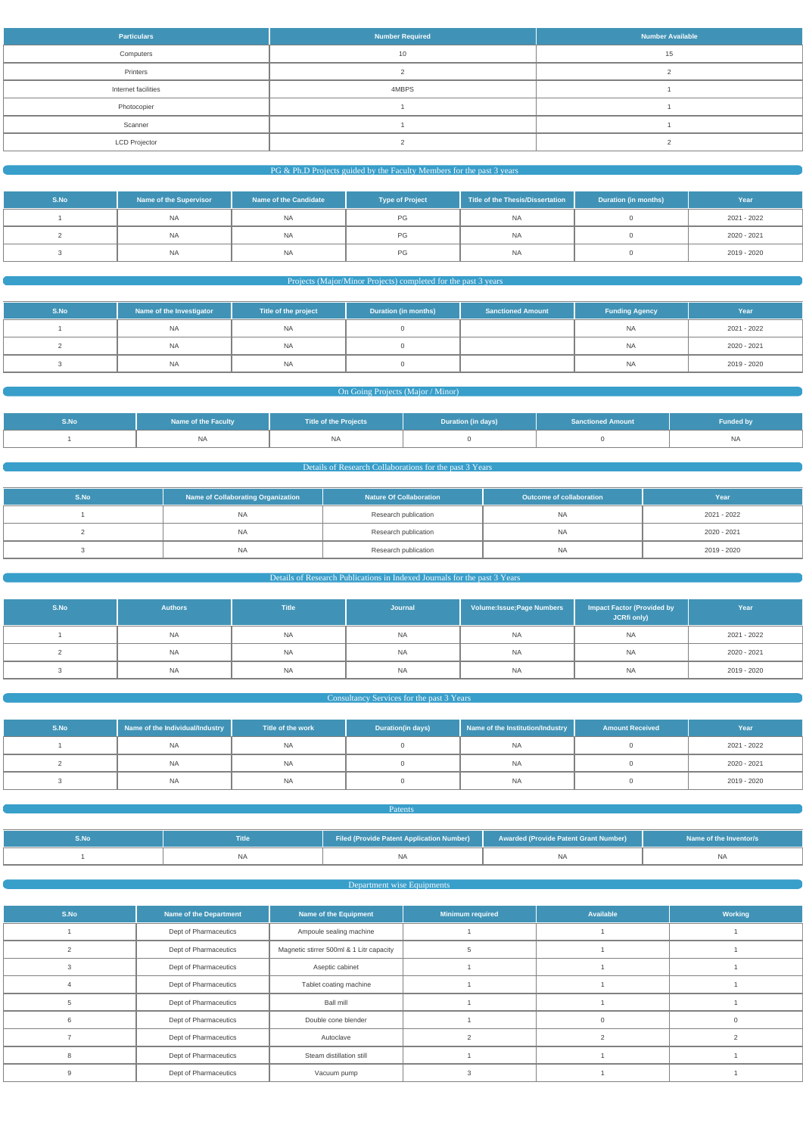| <b>Particulars</b>   | <b>Number Required</b> | <b>Number Available</b> |
|----------------------|------------------------|-------------------------|
| Computers            | 10                     | 15                      |
| Printers             |                        |                         |
| Internet facilities  | 4MBPS                  |                         |
| Photocopier          |                        |                         |
| Scanner              |                        |                         |
| <b>LCD Projector</b> |                        |                         |

#### $P$ G & Ph.D Projects guided by the Faculty Members for the past 3 years

| S.No | Name of the Supervisor | Name of the Candidate | <b>Type of Project</b> | Title of the Thesis/Dissertation | <b>Duration (in months)</b> | Year        |
|------|------------------------|-----------------------|------------------------|----------------------------------|-----------------------------|-------------|
|      | <b>NA</b>              | <b>NA</b>             | PG                     | <b>NA</b>                        |                             | 2021 - 2022 |
|      | <b>NA</b>              | <b>NA</b>             | PG                     | <b>NA</b>                        |                             | 2020 - 2021 |
|      | <b>NA</b>              | <b>NA</b>             | PG                     | NA                               |                             | 2019 - 2020 |

# Projects (Major/Minor Projects) completed for the past 3 years

| S.No | Name of the Investigator | Title of the project | Duration (in months) | <b>Sanctioned Amount</b> | <b>Funding Agency</b> | Year        |
|------|--------------------------|----------------------|----------------------|--------------------------|-----------------------|-------------|
|      | <b>NA</b>                | <b>NA</b>            |                      |                          | <b>NA</b>             | 2021 - 2022 |
|      | <b>NA</b>                | <b>NA</b>            |                      |                          | <b>NA</b>             | 2020 - 2021 |
|      | <b>NA</b>                | <b>NA</b>            |                      |                          | <b>NA</b>             | 2019 - 2020 |

#### **On Going Projects (Major / Minor) Contract Contract Contract Contract Contract Contract Contract Contract Contract Contract Contract Contract Contract Contract Contract Contract Contract Contract Contract Contract Contr**

| S.No | Name of the Faculty | Title of the Projects | Duration (in days) | <b>Sanctioned Amount</b> | <b>Funded by</b> |
|------|---------------------|-----------------------|--------------------|--------------------------|------------------|
|      | <b>NA</b>           | <b>NA</b>             |                    |                          | NA.              |

# **Details of Research Collaborations for the past 3 Years**

| S.No | Name of Collaborating Organization | <b>Nature Of Collaboration</b> | Outcome of collaboration | Year        |
|------|------------------------------------|--------------------------------|--------------------------|-------------|
|      | NA                                 | Research publication           | NA.                      | 2021 - 2022 |
|      | <b>NA</b>                          | Research publication           | NA.                      | 2020 - 2021 |
|      | <b>NA</b>                          | Research publication           | NA.                      | 2019 - 2020 |

# **Details of Research Publications in Indexed Journals for the past 3 Years** and the past 3 Years and the past 3 Years and the past 3 Years and the past 3 Years and the past 3 Years and the past 3 Years and the past 3 Years

| S.No | <b>Authors</b> | <b>Title</b> | Journal   | Volume: Issue; Page Numbers | <b>Impact Factor (Provided by</b><br>JCRfi only) | Year        |
|------|----------------|--------------|-----------|-----------------------------|--------------------------------------------------|-------------|
|      | <b>NA</b>      | <b>NA</b>    | <b>NA</b> | <b>NA</b>                   | <b>NA</b>                                        | 2021 - 2022 |
|      | <b>NA</b>      | <b>NA</b>    | <b>NA</b> | <b>NA</b>                   | NA                                               | 2020 - 2021 |
|      | <b>NA</b>      | <b>NA</b>    | <b>NA</b> | <b>NA</b>                   | <b>NA</b>                                        | 2019 - 2020 |

#### **Consultancy Services for the past 3 Years**

| S.No | Name of the Individual/Industry | Title of the work | <b>Duration(in days)</b> | Name of the Institution/Industry | <b>Amount Received</b> | Year        |
|------|---------------------------------|-------------------|--------------------------|----------------------------------|------------------------|-------------|
|      | NA                              | <b>NA</b>         |                          | <b>NA</b>                        |                        | 2021 - 2022 |
|      | <b>NA</b>                       | <b>NA</b>         |                          | <b>NA</b>                        |                        | 2020 - 2021 |
|      | <b>NA</b>                       | <b>NA</b>         |                          | <b>NA</b>                        |                        | 2019 - 2020 |

**Patents Patents Patents** 

|  | <b>Filed (Provide Patent Application Number)</b> | <b>Awarded (Provide Patent Grant Number)</b> | Name of the Inventor/s |
|--|--------------------------------------------------|----------------------------------------------|------------------------|
|  |                                                  |                                              | <b>NA</b>              |

#### Department wise Equipments

| S.No | <b>Name of the Department</b> | Name of the Equipment                    | <b>Minimum required</b> | Available | Working |
|------|-------------------------------|------------------------------------------|-------------------------|-----------|---------|
|      | Dept of Pharmaceutics         | Ampoule sealing machine                  |                         |           |         |
|      | Dept of Pharmaceutics         | Magnetic stirrer 500ml & 1 Litr capacity |                         |           |         |
|      | Dept of Pharmaceutics         | Aseptic cabinet                          |                         |           |         |
|      | Dept of Pharmaceutics         | Tablet coating machine                   |                         |           |         |
|      | Dept of Pharmaceutics         | <b>Ball mill</b>                         |                         |           |         |
|      | Dept of Pharmaceutics         | Double cone blender                      |                         |           |         |
|      | Dept of Pharmaceutics         | Autoclave                                |                         |           |         |
|      | Dept of Pharmaceutics         | Steam distillation still                 |                         |           |         |
|      | Dept of Pharmaceutics         | Vacuum pump                              |                         |           |         |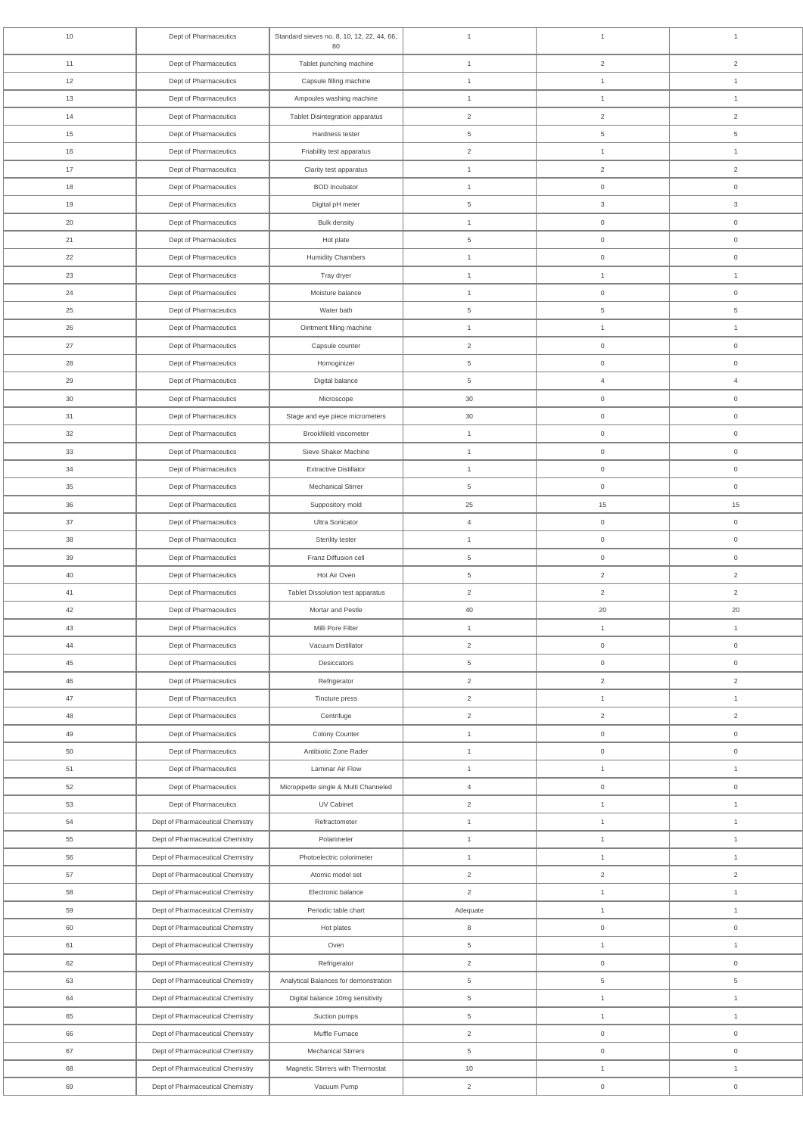| 10 | Dept of Pharmaceutics            | Standard sieves no. 8, 10, 12, 22, 44, 66,<br>80 | $\overline{1}$ | $\mathbf{1}$        | $\mathbf{1}$              |
|----|----------------------------------|--------------------------------------------------|----------------|---------------------|---------------------------|
| 11 | Dept of Pharmaceutics            | Tablet punching machine                          | $\mathbf{1}$   | $\overline{2}$      | $\overline{2}$            |
| 12 | Dept of Pharmaceutics            | Capsule filling machine                          | $\mathbf{1}$   | $\mathbf{1}$        | $\mathbf{1}$              |
| 13 | Dept of Pharmaceutics            | Ampoules washing machine                         | $\mathbf{1}$   | $\mathbf{1}$        | $\mathbf{1}$              |
| 14 | Dept of Pharmaceutics            | Tablet Disintegration apparatus                  | $\overline{2}$ | $\overline{2}$      | $\overline{2}$            |
| 15 | Dept of Pharmaceutics            | Hardness tester                                  | 5              | $\,$ 5 $\,$         | 5                         |
| 16 | Dept of Pharmaceutics            | Friability test apparatus                        | $\overline{2}$ | $\mathbf{1}$        | $\mathbf{1}$              |
| 17 | Dept of Pharmaceutics            | Clarity test apparatus                           | $\mathbf{1}$   | $\overline{2}$      | $\overline{c}$            |
| 18 | Dept of Pharmaceutics            | <b>BOD</b> Incubator                             | $\overline{1}$ | $\mathsf{O}\xspace$ | $\mathsf{O}\xspace$       |
| 19 | Dept of Pharmaceutics            | Digital pH meter                                 | 5              | $\mathbf{3}$        | $\ensuremath{\mathsf{3}}$ |
| 20 | Dept of Pharmaceutics            | <b>Bulk density</b>                              | $\mathbf{1}$   | $\mathsf{O}\xspace$ | $\mathsf{O}\xspace$       |
| 21 | Dept of Pharmaceutics            | Hot plate                                        | 5              | $\mathsf{O}\xspace$ | $\boldsymbol{0}$          |
| 22 | Dept of Pharmaceutics            | <b>Humidity Chambers</b>                         | $\mathbf{1}$   | $\mathsf{O}\xspace$ | $\mathsf{O}\xspace$       |
| 23 | Dept of Pharmaceutics            | Tray dryer                                       | $\mathbf{1}$   | $\mathbf{1}$        | $\mathbf{1}$              |
| 24 | Dept of Pharmaceutics            | Moisture balance                                 | $\mathbf{1}$   | $\mathsf{O}\xspace$ | $\mathsf{O}\xspace$       |
| 25 | Dept of Pharmaceutics            | Water bath                                       | 5              | 5                   | $\overline{5}$            |
|    |                                  |                                                  |                |                     |                           |
| 26 | Dept of Pharmaceutics            | Ointment filling machine                         | $\mathbf{1}$   | $\mathbf{1}$        | $\mathbf{1}$              |
| 27 | Dept of Pharmaceutics            | Capsule counter                                  | 2              | $\mathsf{O}\xspace$ | $\mathbf 0$               |
| 28 | Dept of Pharmaceutics            | Homoginizer                                      | 5              | $\mathsf{O}\xspace$ | $\mathsf{O}\xspace$       |
| 29 | Dept of Pharmaceutics            | Digital balance                                  | 5              | $\overline{4}$      | $\overline{4}$            |
| 30 | Dept of Pharmaceutics            | Microscope                                       | $30\,$         | $\mathsf{O}\xspace$ | $\mathsf{O}\xspace$       |
| 31 | Dept of Pharmaceutics            | Stage and eye piece micrometers                  | 30             | $\mathsf{O}\xspace$ | $\mathsf{O}\xspace$       |
| 32 | Dept of Pharmaceutics            | Brookfileld viscometer                           | $\overline{1}$ | $\mathsf{O}\xspace$ | $\mathsf{O}\xspace$       |
| 33 | Dept of Pharmaceutics            | Sieve Shaker Machine                             | $\overline{1}$ | $\overline{0}$      | 0                         |
| 34 | Dept of Pharmaceutics            | <b>Extractive Distillator</b>                    | $\mathbf{1}$   | $\mathsf{O}\xspace$ | $\mathsf{O}\xspace$       |
| 35 | Dept of Pharmaceutics            | <b>Mechanical Stirrer</b>                        | $\,$ 5 $\,$    | $\overline{0}$      | $\mathsf{O}\xspace$       |
| 36 | Dept of Pharmaceutics            | Suppository mold                                 | 25             | 15                  | 15                        |
| 37 | Dept of Pharmaceutics            | Ultra Sonicator                                  | $\overline{4}$ | $\mathsf{O}\xspace$ | $\mathsf{O}\xspace$       |
| 38 | Dept of Pharmaceutics            | Sterility tester                                 | $\mathbf{1}$   | $\mathsf{O}\xspace$ | $\mathsf{O}\xspace$       |
| 39 | Dept of Pharmaceutics            | Franz Diffusion cell                             | 5              | $\mathsf{O}\xspace$ | $\mathsf{O}\xspace$       |
| 40 | Dept of Pharmaceutics            | Hot Air Oven                                     | $\,$ 5 $\,$    | $\overline{2}$      | $\overline{2}$            |
| 41 | Dept of Pharmaceutics            | Tablet Dissolution test apparatus                | $\overline{2}$ | $\overline{2}$      | $\overline{2}$            |
| 42 | Dept of Pharmaceutics            | Mortar and Pestle                                | $40\,$         | $20\,$              | 20                        |
| 43 | Dept of Pharmaceutics            | Milli Pore Filter                                | $\mathbf{1}$   | $\mathbf{1}$        | $\mathbf{1}$              |
| 44 | Dept of Pharmaceutics            | Vacuum Distillator                               | $\overline{2}$ | $\mathsf{O}\xspace$ | $\mathsf{O}\xspace$       |
| 45 | Dept of Pharmaceutics            | Desiccators                                      | 5              | $\mathsf{O}\xspace$ | $\mathsf{O}\xspace$       |
| 46 | Dept of Pharmaceutics            | Refrigerator                                     | $\overline{2}$ | $\overline{2}$      | $\overline{2}$            |
| 47 | Dept of Pharmaceutics            | Tincture press                                   | $\overline{2}$ | $\mathbf{1}$        | $\mathbf{1}$              |
| 48 | Dept of Pharmaceutics            | Centrifuge                                       | 2              | $\overline{2}$      | $\overline{2}$            |
| 49 | Dept of Pharmaceutics            | Colony Counter                                   | $\mathbf{1}$   | $\mathsf{O}\xspace$ | $\mathsf{O}\xspace$       |
| 50 | Dept of Pharmaceutics            | Antibiotic Zone Rader                            | $\mathbf{1}$   | $\mathsf{O}\xspace$ | $\mathsf{O}\xspace$       |
| 51 | Dept of Pharmaceutics            | Laminar Air Flow                                 | $\mathbf{1}$   | $\mathbf{1}$        | $\mathbf{1}$              |
| 52 | Dept of Pharmaceutics            | Micropipette single & Multi Channeled            | $\overline{4}$ | $\mathsf{O}\xspace$ | $\,0\,$                   |
| 53 | Dept of Pharmaceutics            | UV Cabinet                                       | $\overline{2}$ | $\mathbf{1}$        | $\mathbf{1}$              |
| 54 | Dept of Pharmaceutical Chemistry | Refractometer                                    | $\mathbf{1}$   | $\mathbf{1}$        | $\mathbf{1}$              |
| 55 | Dept of Pharmaceutical Chemistry | Polarimeter                                      | $\overline{1}$ | $\mathbf{1}$        | $\mathbf{1}$              |
| 56 | Dept of Pharmaceutical Chemistry | Photoelectric colorimeter                        | $\mathbf{1}$   | $\mathbf{1}$        | $\mathbf{1}$              |
| 57 | Dept of Pharmaceutical Chemistry | Atomic model set                                 | $\overline{c}$ | $\overline{a}$      | $\overline{2}$            |
| 58 | Dept of Pharmaceutical Chemistry | Electronic balance                               | $\overline{2}$ | $\mathbf{1}$        | $\mathbf{1}$              |
| 59 | Dept of Pharmaceutical Chemistry | Periodic table chart                             | Adequate       | $\mathbf{1}$        | $\mathbf{1}$              |
| 60 | Dept of Pharmaceutical Chemistry | Hot plates                                       | 8              | $\mathsf{O}\xspace$ | $\boldsymbol{0}$          |
| 61 | Dept of Pharmaceutical Chemistry | Oven                                             | 5              | $\mathbf{1}$        | $\mathbf{1}$              |
| 62 | Dept of Pharmaceutical Chemistry | Refrigerator                                     | $\overline{2}$ | $\mathsf{O}\xspace$ | $\mathsf{O}\xspace$       |
| 63 |                                  | Analytical Balances for demonstration            |                |                     |                           |
|    | Dept of Pharmaceutical Chemistry |                                                  | $\,$ 5 $\,$    | $\,$ 5 $\,$         | 5                         |
| 64 | Dept of Pharmaceutical Chemistry | Digital balance 10mg sensitivity                 | $\,$ 5 $\,$    | $\mathbf{1}$        | $\mathbf{1}$              |
| 65 | Dept of Pharmaceutical Chemistry | Suction pumps                                    | $\,$ 5 $\,$    | $\mathbf{1}$        | $\mathbf{1}$              |
| 66 | Dept of Pharmaceutical Chemistry | Muffle Furnace                                   | $\overline{2}$ | $\mathsf{O}\xspace$ | $\mathsf{O}\xspace$       |
| 67 | Dept of Pharmaceutical Chemistry | <b>Mechanical Stirrers</b>                       | $\,$ 5 $\,$    | $\mathsf{O}\xspace$ | $\,0\,$                   |
| 68 | Dept of Pharmaceutical Chemistry | Magnetic Stirrers with Thermostat                | $10$           | $\mathbf{1}$        | $\mathbf{1}$              |
| 69 | Dept of Pharmaceutical Chemistry | Vacuum Pump                                      | $\overline{2}$ | $\boldsymbol{0}$    | $\boldsymbol{0}$          |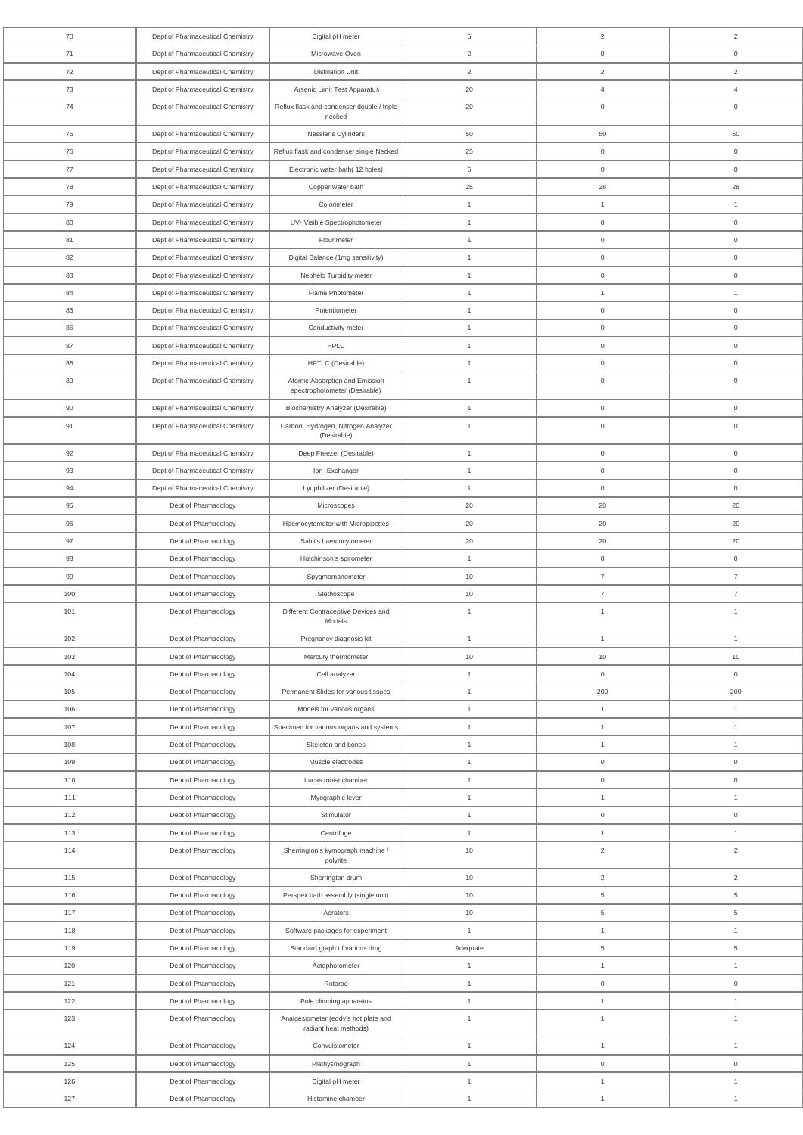| 70         | Dept of Pharmaceutical Chemistry                                     | Digital pH meter                                              | 5                                | 2                              | 2                              |
|------------|----------------------------------------------------------------------|---------------------------------------------------------------|----------------------------------|--------------------------------|--------------------------------|
| 71         | Dept of Pharmaceutical Chemistry                                     | Microwave Oven                                                | $\overline{2}$                   | $\mathsf{O}\xspace$            | $\mathbf 0$                    |
| 72         | Dept of Pharmaceutical Chemistry                                     | <b>Distillation Unit</b>                                      | 2                                | $\overline{2}$                 | $\overline{2}$                 |
| 73         | Dept of Pharmaceutical Chemistry                                     | Arsenic Limit Test Apparatus                                  | 20                               | $\overline{4}$                 | $\overline{4}$                 |
| 74         | Dept of Pharmaceutical Chemistry                                     | Reflux flask and condenser double / triple                    | 20                               | $\mathbf 0$                    | $\mathbf 0$                    |
|            |                                                                      | necked                                                        |                                  |                                |                                |
| 75         | Dept of Pharmaceutical Chemistry                                     | Nessler's Cylinders                                           | 50                               | 50                             | 50                             |
| 76         | Dept of Pharmaceutical Chemistry                                     | Reflux flask and condenser single Necked                      | 25                               | $\mathbf 0$                    | $\overline{0}$                 |
| 77         | Dept of Pharmaceutical Chemistry                                     | Electronic water bath(12 holes)                               | $5\overline{)}$                  | $\mathsf{O}\xspace$            | $\overline{0}$                 |
| 78         | Dept of Pharmaceutical Chemistry                                     | Copper water bath                                             | 25                               | 28                             | 28                             |
| 79         | Dept of Pharmaceutical Chemistry                                     | Colorimeter                                                   | $\mathbf{1}$                     | $\mathbf{1}$                   | $\overline{1}$                 |
| 80         | Dept of Pharmaceutical Chemistry                                     | UV- Visible Spectrophotometer                                 | $\overline{1}$                   | $\overline{0}$                 | $\mathbf 0$                    |
| 81         | Dept of Pharmaceutical Chemistry                                     | Flourimeter                                                   | $\mathbf{1}$                     | $\overline{0}$                 | $\mathbf 0$                    |
| 82<br>83   | Dept of Pharmaceutical Chemistry<br>Dept of Pharmaceutical Chemistry | Digital Balance (1mg sensitivity)                             | $\overline{1}$<br>$\overline{1}$ | $\overline{0}$<br>$\mathbf 0$  | $\mathbf 0$<br>$\overline{0}$  |
| 84         | Dept of Pharmaceutical Chemistry                                     | Nephelo Turbidity meter<br>Flame Photometer                   | $\overline{1}$                   | $\mathbf{1}$                   | $\overline{1}$                 |
| 85         | Dept of Pharmaceutical Chemistry                                     | Potentiometer                                                 | $\overline{1}$                   | $\mathbf 0$                    | $\overline{0}$                 |
| 86         | Dept of Pharmaceutical Chemistry                                     | Conductivity meter                                            | $\overline{1}$                   | $\overline{0}$                 | $\mathsf{O}\xspace$            |
| 87         | Dept of Pharmaceutical Chemistry                                     | <b>HPLC</b>                                                   | $\overline{1}$                   | $\mathsf{O}\xspace$            | $\mathbf 0$                    |
| 88         | Dept of Pharmaceutical Chemistry                                     | HPTLC (Desirable)                                             | $\overline{1}$                   | $\mathbf 0$                    | $\mathbf 0$                    |
| 89         | Dept of Pharmaceutical Chemistry                                     | Atomic Absorption and Emission                                | $\overline{1}$                   | $\overline{0}$                 | $\mathbf 0$                    |
|            |                                                                      | spectrophotometer (Desirable)                                 |                                  |                                |                                |
| 90         | Dept of Pharmaceutical Chemistry                                     | <b>Biochemistry Analyzer (Desirable)</b>                      | $\overline{1}$                   | $\mathsf{O}\xspace$            | $\mathsf{O}\xspace$            |
| 91         | Dept of Pharmaceutical Chemistry                                     | Carbon, Hydrogen, Nitrogen Analyzer<br>(Desirable)            | $\overline{1}$                   | $\mathsf{O}\xspace$            | $\mathbf 0$                    |
| 92         | Dept of Pharmaceutical Chemistry                                     | Deep Freezer (Desirable)                                      | $\mathbf{1}$                     | $\mathsf{O}\xspace$            | $\mathsf{O}\xspace$            |
| 93         | Dept of Pharmaceutical Chemistry                                     | Ion-Exchanger                                                 | $\overline{1}$                   | $\overline{0}$                 | $\mathbf 0$                    |
| 94         | Dept of Pharmaceutical Chemistry                                     | Lyophilizer (Desirable)                                       | $\overline{1}$                   | $\overline{0}$                 | $\overline{0}$                 |
| 95         | Dept of Pharmacology                                                 | Microscopes                                                   | 20                               | 20                             | 20                             |
| 96         | Dept of Pharmacology                                                 | Haemocytometer with Micropipettes                             | 20                               | 20                             | 20                             |
| 97         | Dept of Pharmacology                                                 | Sahli's haemocytometer                                        | 20                               | 20                             | 20                             |
| 98         | Dept of Pharmacology                                                 | Hutchinson's spirometer                                       | $\mathbf{1}$                     | $\overline{0}$                 | $\mathsf{O}\xspace$            |
| 99         | Dept of Pharmacology                                                 | Spygmomanometer                                               | 10                               | $\overline{7}$                 | $\overline{7}$                 |
| 100        | Dept of Pharmacology                                                 | Stethoscope                                                   | 10                               | $\overline{7}$                 | $\overline{7}$                 |
| 101        | Dept of Pharmacology                                                 | Different Contraceptive Devices and<br>Models                 | $\overline{1}$                   | $\mathbf{1}$                   | $\overline{1}$                 |
| 102        | Dept of Pharmacology                                                 | Pregnancy diagnosis kit                                       | $\mathbf{1}$                     | $\overline{1}$                 | $\mathbf{1}$                   |
| 103        | Dept of Pharmacology                                                 | Mercury thermometer                                           | 10                               | 10                             | 10                             |
| 104        | Dept of Pharmacology                                                 | Cell analyzer                                                 | $\mathbf{1}$                     | $\mathsf{O}\xspace$            | $\overline{0}$                 |
| 105        | Dept of Pharmacology                                                 | Permanent Slides for various tissues                          | $\mathbf{1}$                     | 200                            | 200                            |
| 106        | Dept of Pharmacology                                                 | Models for various organs                                     | $\mathbf{1}$                     | $\mathbf{1}$                   | $\mathbf{1}$                   |
| 107        | Dept of Pharmacology                                                 | Specimen for various organs and systems                       | $\mathbf{1}$                     | $\mathbf{1}$                   | $\mathbf{1}$                   |
| 108        | Dept of Pharmacology                                                 | Skeleton and bones                                            | $\mathbf{1}$                     | $\overline{1}$                 | $\mathbf{1}$                   |
| 109        | Dept of Pharmacology                                                 | Muscle electrodes                                             | $\mathbf{1}$                     | $\overline{0}$                 | $\overline{0}$                 |
| 110        | Dept of Pharmacology                                                 | Lucas moist chamber                                           | $\overline{1}$                   | $\overline{0}$                 | $\overline{0}$                 |
| 111        | Dept of Pharmacology                                                 | Myographic lever                                              | $\overline{1}$                   | $\mathbf{1}$                   | $\mathbf{1}$                   |
| 112        | Dept of Pharmacology                                                 | Stimulator                                                    | $\overline{1}$                   | $\mathbf 0$                    | $\mathbf 0$                    |
| 113<br>114 | Dept of Pharmacology<br>Dept of Pharmacology                         | Centrifuge<br>Sherrington's kymograph machine /               | $\mathbf{1}$<br>$10$             | $\mathbf{1}$<br>$\overline{2}$ | $\mathbf{1}$<br>$\overline{2}$ |
| 115        | Dept of Pharmacology                                                 | polyrite<br>Sherrington drum                                  | 10                               | $\overline{2}$                 | 2                              |
| 116        | Dept of Pharmacology                                                 | Perspex bath assembly (single unit)                           | $10$                             | $5\overline{)}$                | $\overline{5}$                 |
| 117        | Dept of Pharmacology                                                 | Aerators                                                      | $10\,$                           | $\sqrt{5}$                     | $\,$ 5 $\,$                    |
| 118        | Dept of Pharmacology                                                 | Software packages for experiment                              | $\mathbf{1}$                     | $\mathbf{1}$                   | $\mathbf{1}$                   |
| 119        | Dept of Pharmacology                                                 | Standard graph of various drug                                | Adequate                         | $\sqrt{5}$                     | $\,$ 5 $\,$                    |
| 120        | Dept of Pharmacology                                                 | Actophotometer                                                | $\mathbf{1}$                     | $\mathbf{1}$                   | $\mathbf{1}$                   |
| 121        | Dept of Pharmacology                                                 | Rotarod                                                       | $\mathbf{1}$                     | $\mathsf{O}\xspace$            | $\mathsf{O}\xspace$            |
| 122        | Dept of Pharmacology                                                 | Pole climbing apparatus                                       | $\mathbf{1}$                     | $\mathbf{1}$                   | $\mathbf{1}$                   |
| 123        | Dept of Pharmacology                                                 | Analgesiometer (eddy's hot plate and<br>radiant heat methods) | $\mathbf{1}$                     | $\mathbf{1}$                   | $\mathbf{1}$                   |
| 124        | Dept of Pharmacology                                                 | Convulsiometer                                                | $\mathbf{1}$                     | $\mathbf{1}$                   | $\mathbf{1}$                   |
| 125        | Dept of Pharmacology                                                 | Plethysmograph                                                | $\mathbf{1}$                     | $\mathsf{O}\xspace$            | $\mathsf{O}\xspace$            |
| 126        | Dept of Pharmacology                                                 | Digital pH meter                                              | $\mathbf{1}$                     | $\mathbf{1}$                   | $\mathbf{1}$                   |
| 127        | Dept of Pharmacology                                                 | Histamine chamber                                             | $\mathbf{1}$                     | $\overline{1}$                 | $\mathbf{1}$                   |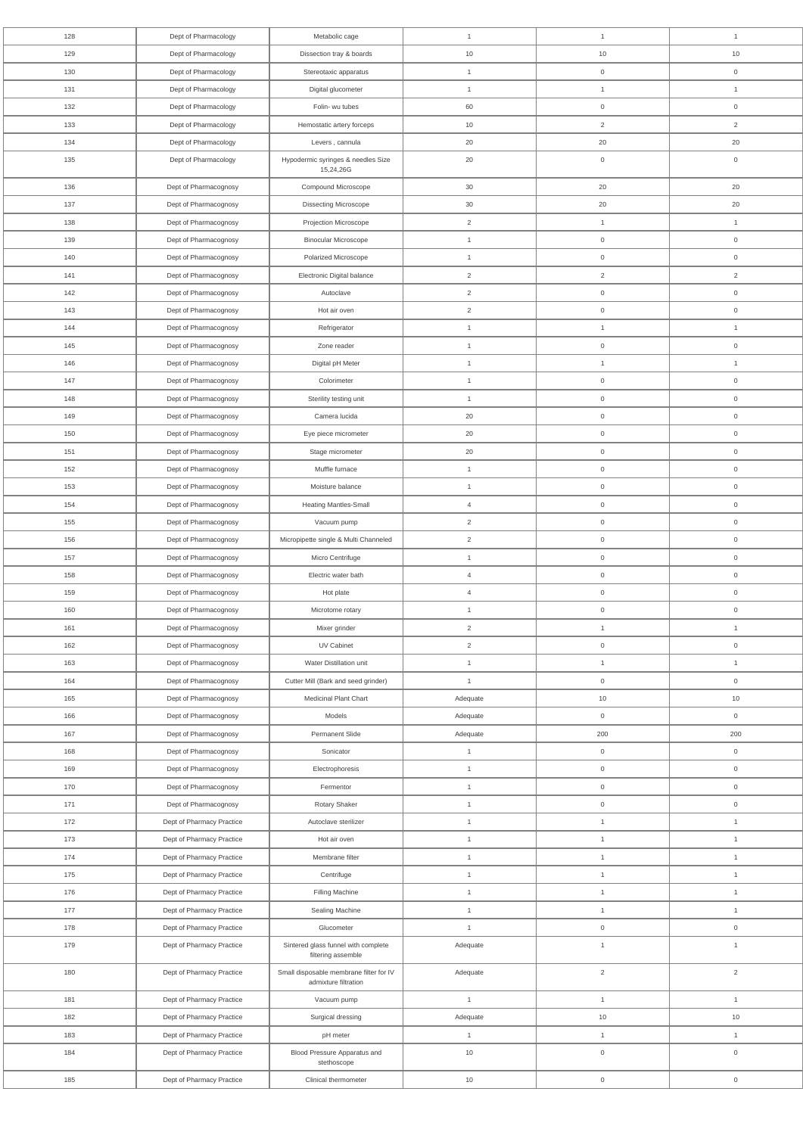| 128        | Dept of Pharmacology                                   | Metabolic cage                                                  | $\mathbf{1}$                 | $\mathbf{1}$                        | $\mathbf{1}$                     |
|------------|--------------------------------------------------------|-----------------------------------------------------------------|------------------------------|-------------------------------------|----------------------------------|
| 129        | Dept of Pharmacology                                   | Dissection tray & boards                                        | 10                           | 10                                  | 10                               |
| 130        | Dept of Pharmacology                                   | Stereotaxic apparatus                                           | $\mathbf{1}$                 | $\mathsf{O}\xspace$                 | $\mathsf{O}\xspace$              |
| 131        | Dept of Pharmacology                                   | Digital glucometer                                              | $\overline{1}$               | $\mathbf{1}$                        | $\mathbf{1}$                     |
| 132        | Dept of Pharmacology                                   | Folin- wu tubes                                                 | 60                           | $\mathsf{O}\xspace$                 | $\mathsf{O}\xspace$              |
| 133        | Dept of Pharmacology                                   | Hemostatic artery forceps                                       | $10$                         | $\overline{2}$                      | $\overline{2}$                   |
| 134        | Dept of Pharmacology                                   | Levers, cannula                                                 | 20                           | 20                                  | 20                               |
| 135        | Dept of Pharmacology                                   | Hypodermic syringes & needles Size<br>15,24,26G                 | 20                           | $\mathsf{O}\xspace$                 | $\mathsf{O}\xspace$              |
| 136        | Dept of Pharmacognosy                                  | Compound Microscope                                             | 30                           | 20                                  | 20                               |
| 137        | Dept of Pharmacognosy                                  | <b>Dissecting Microscope</b>                                    | 30                           | 20                                  | 20                               |
| 138        | Dept of Pharmacognosy                                  | Projection Microscope                                           | $\overline{2}$               | $\mathbf{1}$                        | $\mathbf{1}$                     |
| 139        | Dept of Pharmacognosy                                  | <b>Binocular Microscope</b>                                     | $\mathbf{1}$                 | $\mathsf{O}\xspace$                 | $\boldsymbol{0}$                 |
| 140        | Dept of Pharmacognosy                                  | Polarized Microscope                                            | $\mathbf{1}$                 | $\mathsf{O}\xspace$                 | $\mathsf{O}\xspace$              |
| 141        | Dept of Pharmacognosy                                  | Electronic Digital balance                                      | $\overline{2}$               | $\overline{2}$                      | $\overline{2}$                   |
| 142        | Dept of Pharmacognosy                                  | Autoclave                                                       | $\overline{2}$               | $\mathsf{O}\xspace$                 | $\mathsf{O}\xspace$              |
| 143        | Dept of Pharmacognosy                                  | Hot air oven                                                    | $\overline{2}$               | $\mathsf{O}\xspace$                 | $\mathsf{O}\xspace$              |
| 144        | Dept of Pharmacognosy                                  | Refrigerator                                                    | $\mathbf{1}$                 | $\mathbf{1}$                        | $\mathbf{1}$                     |
| 145        | Dept of Pharmacognosy                                  | Zone reader                                                     | $\mathbf{1}$                 | $\mathsf{O}\xspace$                 | $\mathbf 0$                      |
| 146        | Dept of Pharmacognosy                                  | Digital pH Meter                                                | $\mathbf{1}$                 | $\mathbf{1}$                        | $\mathbf{1}$                     |
| 147        | Dept of Pharmacognosy                                  | Colorimeter                                                     | $\mathbf{1}$                 | $\mathsf{O}\xspace$                 | $\mathsf{O}\xspace$              |
| 148        | Dept of Pharmacognosy                                  | Sterility testing unit                                          | $\mathbf{1}$                 | $\mathsf{O}\xspace$                 | $\mathsf{O}\xspace$              |
| 149        | Dept of Pharmacognosy                                  | Camera lucida                                                   | 20                           | $\mathsf{O}\xspace$                 | $\boldsymbol{0}$                 |
| 150        | Dept of Pharmacognosy                                  | Eye piece micrometer                                            | 20                           | $\mathsf{O}\xspace$                 | $\mathsf{O}\xspace$              |
| 151        | Dept of Pharmacognosy                                  | Stage micrometer                                                | 20                           | 0                                   | $\overline{0}$                   |
| 152        | Dept of Pharmacognosy                                  | Muffle furnace                                                  | $\mathbf{1}$                 | $\mathsf{O}\xspace$                 | $\mathsf{O}\xspace$              |
| 153        | Dept of Pharmacognosy                                  | Moisture balance                                                | $\mathbf{1}$                 | $\mathsf{O}\xspace$                 | $\mathsf{O}\xspace$              |
| 154        | Dept of Pharmacognosy                                  | Heating Mantles-Small                                           | $\overline{4}$               | $\mathsf{O}\xspace$                 | $\boldsymbol{0}$                 |
| 155        | Dept of Pharmacognosy                                  | Vacuum pump                                                     | $\overline{2}$               | $\mathsf{O}\xspace$                 | $\mathsf{O}\xspace$              |
| 156        | Dept of Pharmacognosy                                  | Micropipette single & Multi Channeled                           | $\overline{2}$               | $\mathsf{O}\xspace$                 | $\mathsf{O}\xspace$              |
| 157        | Dept of Pharmacognosy                                  | Micro Centrifuge                                                | $\mathbf{1}$                 | $\mathsf{O}\xspace$                 | $\mathsf{O}\xspace$              |
| 158        | Dept of Pharmacognosy                                  | Electric water bath                                             | $\overline{4}$               | $\mathsf{O}\xspace$                 | $\mathsf{O}\xspace$              |
| 159        | Dept of Pharmacognosy                                  | Hot plate                                                       | $\overline{4}$               | $\mathsf{O}\xspace$                 | $\mathsf{O}\xspace$              |
| 160        | Dept of Pharmacognosy                                  | Microtome rotary                                                | $\mathbf{1}$                 | $\mathsf{O}\xspace$                 | $\mathsf{O}\xspace$              |
| 161        | Dept of Pharmacognosy                                  | Mixer grinder                                                   | $\overline{2}$               | $\mathbf{1}$                        | $\mathbf{1}$                     |
| 162        | Dept of Pharmacognosy                                  | UV Cabinet                                                      | $\overline{2}$               | $\mathsf{O}\xspace$                 | $\mathsf{O}\xspace$              |
| 163        | Dept of Pharmacognosy                                  | Water Distillation unit                                         | $\mathbf{1}$                 | $\mathbf{1}$                        | $\mathbf{1}$                     |
| 164        | Dept of Pharmacognosy                                  | Cutter Mill (Bark and seed grinder)                             | $\overline{1}$               | $\mathsf{O}\xspace$                 | $\,0\,$                          |
| 165        | Dept of Pharmacognosy                                  | Medicinal Plant Chart                                           | Adequate                     | 10                                  | 10                               |
| 166        | Dept of Pharmacognosy                                  | Models                                                          | Adequate                     | $\overline{0}$                      | $\mathsf{O}\xspace$              |
| 167        | Dept of Pharmacognosy                                  | Permanent Slide                                                 | Adequate                     | 200                                 | 200                              |
| 168        | Dept of Pharmacognosy                                  | Sonicator                                                       | $\mathbf{1}$                 | $\mathsf{O}\xspace$                 | $\mathsf{O}\xspace$              |
| 169        | Dept of Pharmacognosy                                  | Electrophoresis                                                 | $\mathbf{1}$                 | $\mathsf{O}\xspace$                 | $\mathsf{O}\xspace$              |
| 170        | Dept of Pharmacognosy                                  | Fermentor                                                       | $\mathbf{1}$                 | $\mathsf{O}\xspace$                 | $\,0\,$                          |
| 171        | Dept of Pharmacognosy                                  | Rotary Shaker                                                   | $\overline{1}$               | $\mathsf{O}\xspace$                 | $\,0\,$                          |
| 172        | Dept of Pharmacy Practice                              | Autoclave sterilizer                                            | $\mathbf{1}$                 | $\mathbf{1}$                        | $\mathbf{1}$                     |
| 173        | Dept of Pharmacy Practice                              | Hot air oven                                                    | $\overline{1}$               | $\mathbf{1}$                        | $\mathbf{1}$                     |
| 174        | Dept of Pharmacy Practice                              | Membrane filter                                                 | $\mathbf{1}$                 | $\mathbf{1}$                        | $\mathbf{1}$                     |
| 175        | Dept of Pharmacy Practice                              | Centrifuge                                                      | $\mathbf{1}$                 | $\mathbf{1}$                        | $\mathbf{1}$                     |
| 176        | Dept of Pharmacy Practice                              | Filling Machine                                                 | $\mathbf{1}$                 | $\mathbf{1}$                        | $\mathbf{1}$                     |
| 177<br>178 | Dept of Pharmacy Practice<br>Dept of Pharmacy Practice | Sealing Machine<br>Glucometer                                   | $\mathbf{1}$<br>$\mathbf{1}$ | $\mathbf{1}$<br>$\mathsf{O}\xspace$ | $\mathbf{1}$<br>$\boldsymbol{0}$ |
| 179        | Dept of Pharmacy Practice                              | Sintered glass funnel with complete                             | Adequate                     | $\mathbf{1}$                        | $\mathbf{1}$                     |
|            |                                                        | filtering assemble                                              |                              |                                     |                                  |
| 180        | Dept of Pharmacy Practice                              | Small disposable membrane filter for IV<br>admixture filtration | Adequate                     | $\sqrt{2}$                          | $\overline{2}$                   |
| 181        | Dept of Pharmacy Practice                              | Vacuum pump                                                     | $\mathbf{1}$                 | $\mathbf{1}$                        | $\mathbf{1}$                     |
| 182        | Dept of Pharmacy Practice                              | Surgical dressing                                               | Adequate                     | $10$                                | $10$                             |
| 183        | Dept of Pharmacy Practice                              | pH meter                                                        | $\mathbf{1}$                 | 1                                   | $\mathbf{1}$                     |
| 184        | Dept of Pharmacy Practice                              | Blood Pressure Apparatus and<br>stethoscope                     | 10                           | $\mathsf{O}\xspace$                 | $\mathsf{O}\xspace$              |
| 185        | Dept of Pharmacy Practice                              | Clinical thermometer                                            | $10$                         | $\boldsymbol{0}$                    | $\mathsf{O}\xspace$              |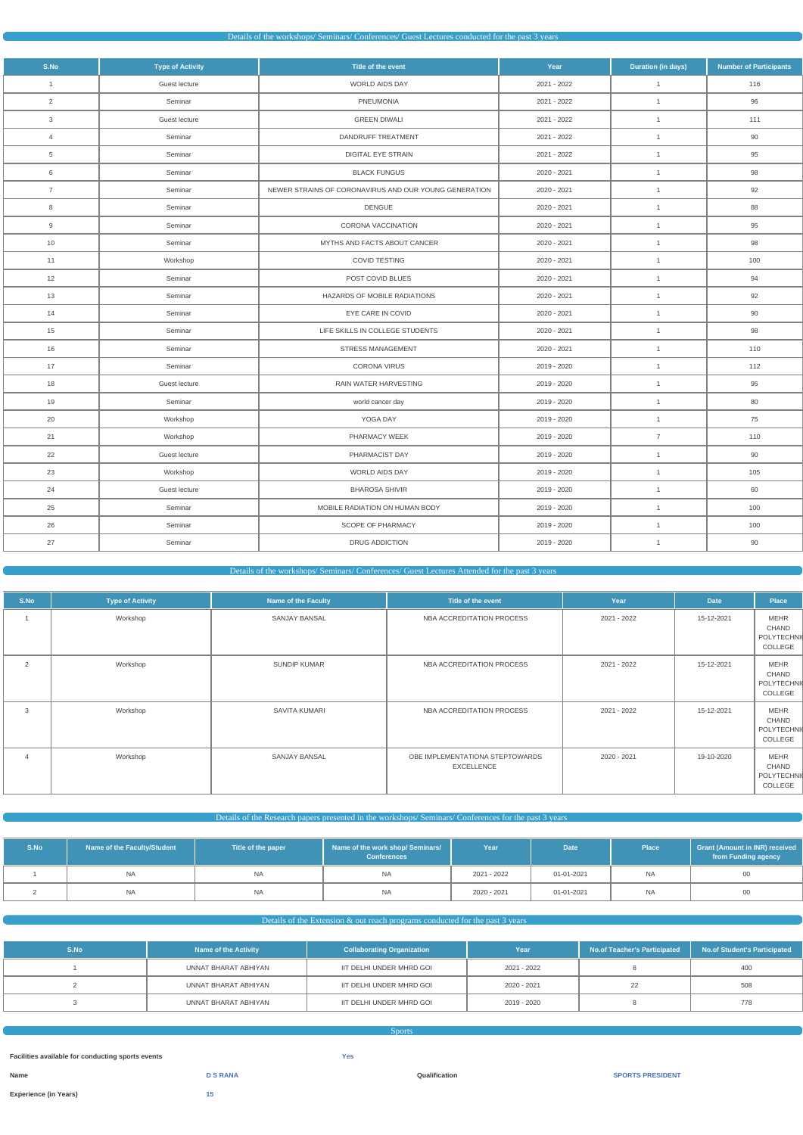| Details of the workshops/Seminars/Conferences/Guest Lectures conducted for the past 3 years |  |
|---------------------------------------------------------------------------------------------|--|
|---------------------------------------------------------------------------------------------|--|

| S.No           | <b>Type of Activity</b> | Title of the event                                    | Year        | <b>Duration (in days)</b> | <b>Number of Participants</b> |
|----------------|-------------------------|-------------------------------------------------------|-------------|---------------------------|-------------------------------|
| $\mathbf{1}$   | Guest lecture           | <b>WORLD AIDS DAY</b>                                 | 2021 - 2022 | $\mathbf{1}$              | 116                           |
| $\overline{2}$ | Seminar                 | PNEUMONIA                                             | 2021 - 2022 | $\overline{1}$            | 96                            |
| $\mathbf{3}$   | Guest lecture           | <b>GREEN DIWALI</b>                                   | 2021 - 2022 | $\overline{1}$            | 111                           |
| $\overline{4}$ | Seminar                 | DANDRUFF TREATMENT                                    | 2021 - 2022 | $\overline{1}$            | 90                            |
| $\overline{5}$ | Seminar                 | <b>DIGITAL EYE STRAIN</b>                             | 2021 - 2022 | $\mathbf{1}$              | 95                            |
| 6              | Seminar                 | <b>BLACK FUNGUS</b>                                   | 2020 - 2021 | $\mathbf{1}$              | 98                            |
| $\overline{7}$ | Seminar                 | NEWER STRAINS OF CORONAVIRUS AND OUR YOUNG GENERATION | 2020 - 2021 | $\mathbf{1}$              | 92                            |
| 8              | Seminar                 | <b>DENGUE</b>                                         | 2020 - 2021 | $\mathbf{1}$              | 88                            |
| 9              | Seminar                 | CORONA VACCINATION                                    | 2020 - 2021 | $\mathbf{1}$              | 95                            |
| 10             | Seminar                 | MYTHS AND FACTS ABOUT CANCER                          | 2020 - 2021 | $\overline{1}$            | 98                            |
| 11             | Workshop                | COVID TESTING                                         | 2020 - 2021 | $\overline{1}$            | 100                           |
| 12             | Seminar                 | POST COVID BLUES                                      | 2020 - 2021 | $\mathbf{1}$              | 94                            |
| 13             | Seminar                 | HAZARDS OF MOBILE RADIATIONS                          | 2020 - 2021 | $\overline{1}$            | 92                            |
| 14             | Seminar                 | EYE CARE IN COVID                                     | 2020 - 2021 | $\overline{1}$            | 90                            |
| 15             | Seminar                 | LIFE SKILLS IN COLLEGE STUDENTS                       | 2020 - 2021 | $\overline{1}$            | 98                            |
| 16             | Seminar                 | STRESS MANAGEMENT                                     | 2020 - 2021 | $\overline{1}$            | 110                           |
| 17             | Seminar                 | <b>CORONA VIRUS</b>                                   | 2019 - 2020 | $\mathbf{1}$              | 112                           |
| 18             | Guest lecture           | RAIN WATER HARVESTING                                 | 2019 - 2020 | $\mathbf{1}$              | 95                            |
| 19             | Seminar                 | world cancer day                                      | 2019 - 2020 | $\mathbf{1}$              | 80                            |
| 20             | Workshop                | YOGA DAY                                              | 2019 - 2020 | $\mathbf{1}$              | 75                            |
| 21             | Workshop                | PHARMACY WEEK                                         | 2019 - 2020 | $\overline{7}$            | 110                           |
| 22             | Guest lecture           | PHARMACIST DAY                                        | 2019 - 2020 | $\mathbf{1}$              | 90                            |
| 23             | Workshop                | WORLD AIDS DAY                                        | 2019 - 2020 | $\mathbf{1}$              | 105                           |
| 24             | Guest lecture           | <b>BHAROSA SHIVIR</b>                                 | 2019 - 2020 | $\mathbf{1}$              | 60                            |
| 25             | Seminar                 | MOBILE RADIATION ON HUMAN BODY                        | 2019 - 2020 | $\mathbf{1}$              | 100                           |
| 26             | Seminar                 | SCOPE OF PHARMACY                                     | 2019 - 2020 | $\mathbf{1}$              | 100                           |
| 27             | Seminar                 | DRUG ADDICTION                                        | 2019 - 2020 | $\mathbf{1}$              | 90                            |

# Details of the workshops/ Seminars/ Conferences/ Guest Lectures Attended for the past 3 years

| S.No           | <b>Type of Activity</b> | Name of the Faculty | Title of the event                                   | Year        | <b>Date</b> | Place                                                |
|----------------|-------------------------|---------------------|------------------------------------------------------|-------------|-------------|------------------------------------------------------|
|                | Workshop                | SANJAY BANSAL       | NBA ACCREDITATION PROCESS                            | 2021 - 2022 | 15-12-2021  | <b>MEHR</b><br>CHAND<br><b>POLYTECHNI</b><br>COLLEGE |
| 2              | Workshop                | SUNDIP KUMAR        | NBA ACCREDITATION PROCESS                            | 2021 - 2022 | 15-12-2021  | <b>MEHR</b><br>CHAND<br><b>POLYTECHNI</b><br>COLLEGE |
| 3              | Workshop                | SAVITA KUMARI       | NBA ACCREDITATION PROCESS                            | 2021 - 2022 | 15-12-2021  | <b>MEHR</b><br>CHAND<br>POLYTECHNI<br>COLLEGE        |
| $\overline{4}$ | Workshop                | SANJAY BANSAL       | OBE IMPLEMENTATIONA STEPTOWARDS<br><b>EXCELLENCE</b> | 2020 - 2021 | 19-10-2020  | <b>MEHR</b><br>CHAND<br><b>POLYTECHNI</b><br>COLLEGE |

Details of the Research papers presented in the workshops/ Seminars/ Conferences for the past 3 years

| S.No | Name of the Faculty/Student | Title of the paper | Name of the work shop/ Seminars/<br><b>Conferences</b> | Year        | Date <sup>1</sup> | <b>Place</b> | <b>Grant (Amount in INR) received</b><br>from Funding agency |
|------|-----------------------------|--------------------|--------------------------------------------------------|-------------|-------------------|--------------|--------------------------------------------------------------|
|      | NA                          | NA                 | <b>NA</b>                                              | 2021 - 2022 | 01-01-2021        | <b>NA</b>    | 00                                                           |
|      | <b>NA</b>                   | <b>NA</b>          | <b>NA</b>                                              | 2020 - 2021 | 01-01-2021        | <b>NA</b>    | 00                                                           |

# Details of the Extension & out reach programs conducted for the past 3 years

| S.No | <b>Name of the Activity</b> | <b>Collaborating Organization</b> | Year        | No.of Teacher's Participated | No.of Student's Participated |
|------|-----------------------------|-----------------------------------|-------------|------------------------------|------------------------------|
|      | UNNAT BHARAT ABHIYAN        | IIT DELHI UNDER MHRD GOI          | 2021 - 2022 |                              | 400                          |
|      | UNNAT BHARAT ABHIYAN        | IIT DELHI UNDER MHRD GOI          | 2020 - 2021 |                              | 508                          |
|      | UNNAT BHARAT ABHIYAN        | IIT DELHI UNDER MHRD GOI          | 2019 - 2020 |                              | 778                          |

| <b>Sports</b>                                     |                 |            |               |                         |
|---------------------------------------------------|-----------------|------------|---------------|-------------------------|
|                                                   |                 |            |               |                         |
| Facilities available for conducting sports events |                 | <b>Yes</b> |               |                         |
| Name                                              | <b>D S RANA</b> |            | Qualification | <b>SPORTS PRESIDENT</b> |
| <b>Experience (in Years)</b>                      | 15              |            |               |                         |